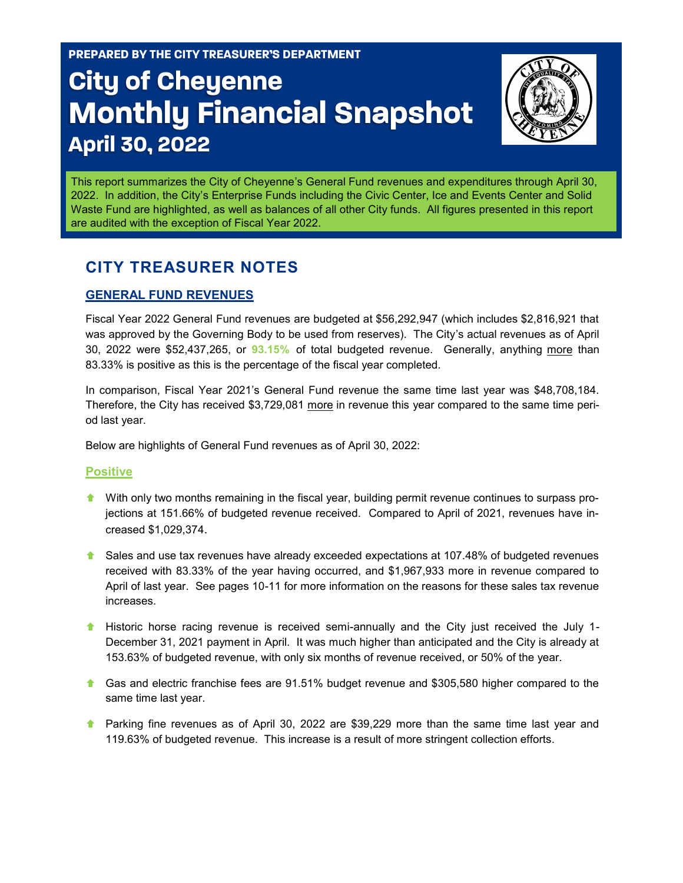PREPARED BY THE CITY TREASURER'S DEPARTMENT

# **City of Cheyenne Monthly Financial Snapshot April 30, 2022**



This report summarizes the City of Cheyenne's General Fund revenues and expenditures through April 30, 2022. In addition, the City's Enterprise Funds including the Civic Center, Ice and Events Center and Solid Waste Fund are highlighted, as well as balances of all other City funds. All figures presented in this report are audited with the exception of Fiscal Year 2022.

### **CITY TREASURER NOTES**

#### **GENERAL FUND REVENUES**

Fiscal Year 2022 General Fund revenues are budgeted at \$56,292,947 (which includes \$2,816,921 that was approved by the Governing Body to be used from reserves). The City's actual revenues as of April 30, 2022 were \$52,437,265, or **93.15%** of total budgeted revenue. Generally, anything more than 83.33% is positive as this is the percentage of the fiscal year completed.

In comparison, Fiscal Year 2021's General Fund revenue the same time last year was \$48,708,184. Therefore, the City has received \$3,729,081 more in revenue this year compared to the same time period last year.

Below are highlights of General Fund revenues as of April 30, 2022:

#### **Positive**

- With only two months remaining in the fiscal year, building permit revenue continues to surpass projections at 151.66% of budgeted revenue received. Compared to April of 2021, revenues have increased \$1,029,374.
- **A** Sales and use tax revenues have already exceeded expectations at 107.48% of budgeted revenues received with 83.33% of the year having occurred, and \$1,967,933 more in revenue compared to April of last year. See pages 10-11 for more information on the reasons for these sales tax revenue increases.
- **Historic horse racing revenue is received semi-annually and the City just received the July 1-**December 31, 2021 payment in April. It was much higher than anticipated and the City is already at 153.63% of budgeted revenue, with only six months of revenue received, or 50% of the year.
- Gas and electric franchise fees are 91.51% budget revenue and \$305,580 higher compared to the same time last year.
- **A** Parking fine revenues as of April 30, 2022 are \$39,229 more than the same time last year and 119.63% of budgeted revenue. This increase is a result of more stringent collection efforts.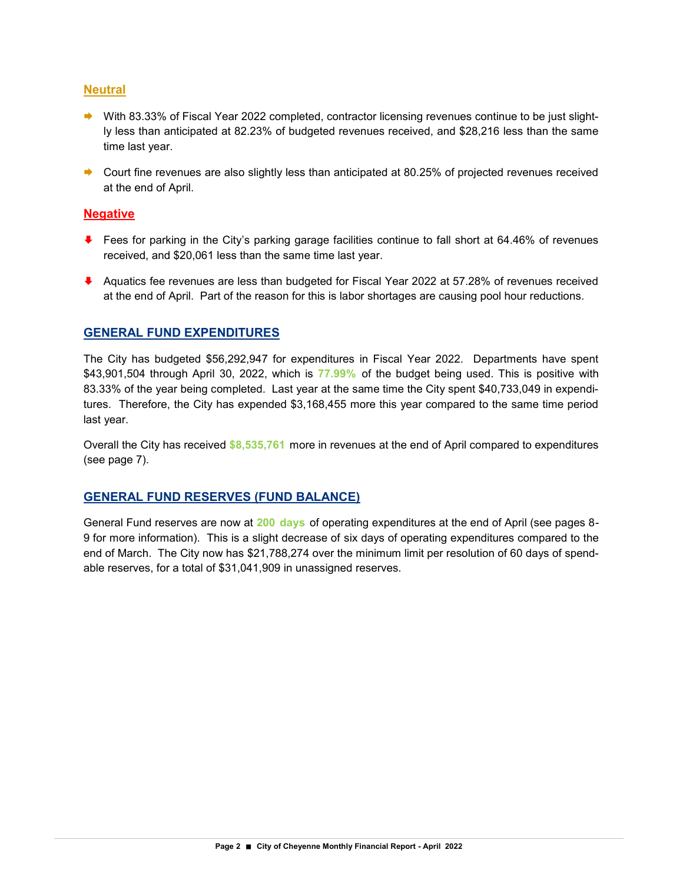#### **Neutral**

- ◆ With 83.33% of Fiscal Year 2022 completed, contractor licensing revenues continue to be just slightly less than anticipated at 82.23% of budgeted revenues received, and \$28,216 less than the same time last year.
- Court fine revenues are also slightly less than anticipated at 80.25% of projected revenues received at the end of April.

#### **Negative**

- ↓ Fees for parking in the City's parking garage facilities continue to fall short at 64.46% of revenues received, and \$20,061 less than the same time last year.
- ↓ Aquatics fee revenues are less than budgeted for Fiscal Year 2022 at 57.28% of revenues received at the end of April. Part of the reason for this is labor shortages are causing pool hour reductions.

#### **GENERAL FUND EXPENDITURES**

The City has budgeted \$56,292,947 for expenditures in Fiscal Year 2022. Departments have spent \$43,901,504 through April 30, 2022, which is **77.99%** of the budget being used. This is positive with 83.33% of the year being completed. Last year at the same time the City spent \$40,733,049 in expenditures. Therefore, the City has expended \$3,168,455 more this year compared to the same time period last year.

Overall the City has received **\$8,535,761** more in revenues at the end of April compared to expenditures (see page 7).

#### **GENERAL FUND RESERVES (FUND BALANCE)**

General Fund reserves are now at **200 days** of operating expenditures at the end of April (see pages 8- 9 for more information). This is a slight decrease of six days of operating expenditures compared to the end of March. The City now has \$21,788,274 over the minimum limit per resolution of 60 days of spendable reserves, for a total of \$31,041,909 in unassigned reserves.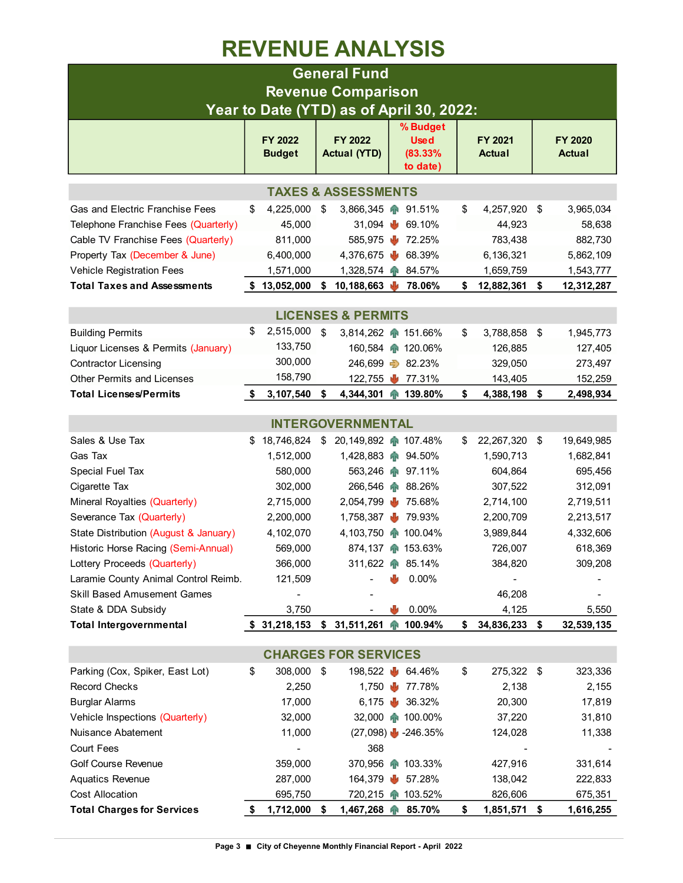### **REVENUE ANALYSIS**

|                                       |     |                                 |      | <b>General Fund</b>                      |     |                        |    |                          |    |                          |  |  |  |
|---------------------------------------|-----|---------------------------------|------|------------------------------------------|-----|------------------------|----|--------------------------|----|--------------------------|--|--|--|
| <b>Revenue Comparison</b>             |     |                                 |      |                                          |     |                        |    |                          |    |                          |  |  |  |
|                                       |     |                                 |      | Year to Date (YTD) as of April 30, 2022: |     |                        |    |                          |    |                          |  |  |  |
|                                       |     |                                 |      |                                          |     | % Budget               |    |                          |    |                          |  |  |  |
|                                       |     | <b>FY 2022</b><br><b>Budget</b> |      | FY 2022<br><b>Actual (YTD)</b>           |     | <b>Used</b><br>(83.33% |    | FY 2021<br><b>Actual</b> |    | FY 2020<br><b>Actual</b> |  |  |  |
|                                       |     |                                 |      |                                          |     | to date)               |    |                          |    |                          |  |  |  |
|                                       |     |                                 |      | <b>TAXES &amp; ASSESSMENTS</b>           |     |                        |    |                          |    |                          |  |  |  |
| Gas and Electric Franchise Fees       | \$  | 4,225,000                       | \$   | 3,866,345                                |     | 91.51%                 | \$ | 4,257,920                | \$ | 3,965,034                |  |  |  |
| Telephone Franchise Fees (Quarterly)  |     | 45,000                          |      | 31,094                                   | w   | 69.10%                 |    | 44,923                   |    | 58,638                   |  |  |  |
| Cable TV Franchise Fees (Quarterly)   |     | 811,000                         |      | 585,975                                  | ۰U  | 72.25%                 |    | 783,438                  |    | 882,730                  |  |  |  |
| Property Tax (December & June)        |     | 6,400,000                       |      | 4,376,675                                |     | 68.39%                 |    | 6,136,321                |    | 5,862,109                |  |  |  |
| Vehicle Registration Fees             |     | 1,571,000                       |      | 1,328,574 $\bullet$                      |     | 84.57%                 |    | 1,659,759                |    | 1,543,777                |  |  |  |
| <b>Total Taxes and Assessments</b>    |     | \$13,052,000                    | \$   | 10,188,663                               |     | 78.06%                 | \$ | 12,882,361               | \$ | 12,312,287               |  |  |  |
|                                       |     |                                 |      |                                          |     |                        |    |                          |    |                          |  |  |  |
| <b>LICENSES &amp; PERMITS</b>         |     |                                 |      |                                          |     |                        |    |                          |    |                          |  |  |  |
| <b>Building Permits</b>               | \$  | 2,515,000                       | \$   | 3,814,262 151.66%                        |     |                        | \$ | 3,788,858                | \$ | 1,945,773                |  |  |  |
| Liquor Licenses & Permits (January)   |     | 133,750                         |      |                                          |     | 160,584 120.06%        |    | 126,885                  |    | 127,405                  |  |  |  |
| <b>Contractor Licensing</b>           |     | 300,000                         |      |                                          |     | 246,699 32.23%         |    | 329,050                  |    | 273,497                  |  |  |  |
| <b>Other Permits and Licenses</b>     |     | 158,790                         |      | 122,755                                  | w   | 77.31%                 |    | 143,405                  |    | 152,259                  |  |  |  |
| <b>Total Licenses/Permits</b>         | - 5 | 3,107,540                       | \$   | 4,344,301 139.80%                        |     |                        | \$ | 4,388,198                | \$ | 2,498,934                |  |  |  |
| <b>INTERGOVERNMENTAL</b>              |     |                                 |      |                                          |     |                        |    |                          |    |                          |  |  |  |
|                                       |     |                                 |      |                                          |     |                        |    |                          |    |                          |  |  |  |
| Sales & Use Tax                       |     | \$18,746,824                    | \$   | 20,149,892 107.48%                       |     |                        | S  | 22,267,320               | \$ | 19,649,985               |  |  |  |
| Gas Tax                               |     | 1,512,000                       |      | 1,428,883                                |     | 94.50%                 |    | 1,590,713                |    | 1,682,841                |  |  |  |
| Special Fuel Tax                      |     | 580,000                         |      | 563,246                                  |     | 97.11%                 |    | 604,864                  |    | 695,456                  |  |  |  |
| Cigarette Tax                         |     | 302,000                         |      | 266,546                                  |     | 88.26%                 |    | 307,522                  |    | 312,091                  |  |  |  |
| Mineral Royalties (Quarterly)         |     | 2,715,000                       |      | 2,054,799                                |     | 75.68%                 |    | 2,714,100                |    | 2,719,511                |  |  |  |
| Severance Tax (Quarterly)             |     | 2,200,000                       |      | 1,758,387                                |     | 79.93%                 |    | 2,200,709                |    | 2,213,517                |  |  |  |
| State Distribution (August & January) |     | 4,102,070                       |      | 4,103,750 100.04%                        |     |                        |    | 3,989,844                |    | 4,332,606                |  |  |  |
| Historic Horse Racing (Semi-Annual)   |     | 569,000                         |      |                                          |     | 874,137 153.63%        |    | 726,007                  |    | 618,369                  |  |  |  |
| Lottery Proceeds (Quarterly)          |     | 366,000                         |      |                                          |     | 311,622 1 85.14%       |    | 384,820                  |    | 309,208                  |  |  |  |
| Laramie County Animal Control Reimb.  |     | 121,509                         |      |                                          |     | 0.00%                  |    |                          |    |                          |  |  |  |
| <b>Skill Based Amusement Games</b>    |     |                                 |      |                                          |     |                        |    | 46,208                   |    |                          |  |  |  |
| State & DDA Subsidy                   |     | 3,750                           |      |                                          |     | 0.00%                  |    | 4,125                    |    | 5,550                    |  |  |  |
| <b>Total Intergovernmental</b>        |     |                                 |      | $$31,218,153$ $$31,511,261$              | ЯR. | 100.94%                | \$ | 34,836,233               | \$ | 32,539,135               |  |  |  |
|                                       |     |                                 |      | <b>CHARGES FOR SERVICES</b>              |     |                        |    |                          |    |                          |  |  |  |
| Parking (Cox, Spiker, East Lot)       | \$  | 308,000                         | - \$ | 198,522 ₺                                |     | 64.46%                 | \$ | 275,322 \$               |    | 323,336                  |  |  |  |
| <b>Record Checks</b>                  |     | 2,250                           |      | 1,750 <b>b</b>                           |     | 77.78%                 |    | 2,138                    |    | 2,155                    |  |  |  |
| <b>Burglar Alarms</b>                 |     | 17,000                          |      | 6,175 <b>b</b>                           |     | 36.32%                 |    | 20,300                   |    | 17,819                   |  |  |  |
| Vehicle Inspections (Quarterly)       |     | 32,000                          |      |                                          |     | 32,000 100.00%         |    | 37,220                   |    | 31,810                   |  |  |  |
| Nuisance Abatement                    |     | 11,000                          |      |                                          |     | $(27,098)$ -246.35%    |    | 124,028                  |    | 11,338                   |  |  |  |
| <b>Court Fees</b>                     |     |                                 |      | 368                                      |     |                        |    |                          |    |                          |  |  |  |
| <b>Golf Course Revenue</b>            |     | 359,000                         |      | 370,956                                  | ЯR  | 103.33%                |    | 427,916                  |    | 331,614                  |  |  |  |
| <b>Aquatics Revenue</b>               |     | 287,000                         |      | 164,379                                  |     | 57.28%                 |    | 138,042                  |    | 222,833                  |  |  |  |
| <b>Cost Allocation</b>                |     | 695,750                         |      | 720,215                                  | ЯR  | 103.52%                |    | 826,606                  |    | 675,351                  |  |  |  |
| <b>Total Charges for Services</b>     | S,  | 1,712,000                       | \$   | 1,467,268                                |     | 85.70%                 | \$ | 1,851,571                | \$ | 1,616,255                |  |  |  |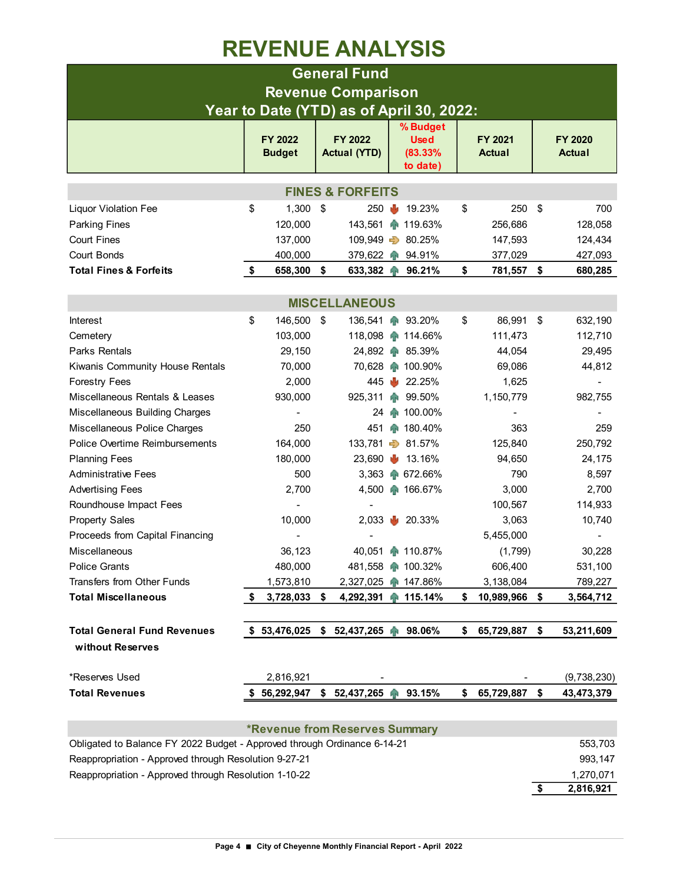### **REVENUE ANALYSIS**

|                                                                          |    |                           |      | <b>General Fund</b>                   |    |                                                |    |                          |    |                          |  |  |  |
|--------------------------------------------------------------------------|----|---------------------------|------|---------------------------------------|----|------------------------------------------------|----|--------------------------|----|--------------------------|--|--|--|
|                                                                          |    |                           |      | <b>Revenue Comparison</b>             |    |                                                |    |                          |    |                          |  |  |  |
| Year to Date (YTD) as of April 30, 2022:                                 |    |                           |      |                                       |    |                                                |    |                          |    |                          |  |  |  |
|                                                                          |    | FY 2022<br><b>Budget</b>  |      | FY 2022<br><b>Actual (YTD)</b>        |    | % Budget<br><b>Used</b><br>(83.33%<br>to date) |    | FY 2021<br><b>Actual</b> |    | FY 2020<br><b>Actual</b> |  |  |  |
| <b>FINES &amp; FORFEITS</b>                                              |    |                           |      |                                       |    |                                                |    |                          |    |                          |  |  |  |
| <b>Liquor Violation Fee</b>                                              | \$ | 1,300                     | - \$ | 250                                   | Ф  | 19.23%                                         | \$ | 250                      | \$ | 700                      |  |  |  |
| <b>Parking Fines</b>                                                     |    | 120,000                   |      | 143,561                               |    | ↑ 119.63%                                      |    | 256,686                  |    | 128,058                  |  |  |  |
| <b>Court Fines</b>                                                       |    | 137,000                   |      |                                       |    | 109,949 $\Rightarrow$ 80.25%                   |    | 147,593                  |    | 124,434                  |  |  |  |
| Court Bonds                                                              |    | 400,000                   |      |                                       |    | 379,622 1 94.91%                               |    | 377,029                  |    | 427,093                  |  |  |  |
| <b>Total Fines &amp; Forfeits</b>                                        | \$ | 658,300                   | - \$ |                                       |    | 633,382 1 96.21%                               | \$ | 781,557 \$               |    | 680,285                  |  |  |  |
|                                                                          |    |                           |      |                                       |    |                                                |    |                          |    |                          |  |  |  |
| <b>MISCELLANEOUS</b>                                                     |    |                           |      |                                       |    |                                                |    |                          |    |                          |  |  |  |
| Interest                                                                 | \$ | 146,500                   | \$   | 136,541                               | qн | 93.20%                                         | \$ | 86,991                   | \$ | 632,190                  |  |  |  |
| Cemetery                                                                 |    | 103,000                   |      |                                       |    | 118,098 114.66%                                |    | 111,473                  |    | 112,710                  |  |  |  |
| Parks Rentals                                                            |    | 29,150                    |      |                                       |    | 24,892 85.39%                                  |    | 44,054                   |    | 29,495                   |  |  |  |
| Kiwanis Community House Rentals                                          |    | 70,000                    |      |                                       |    | 70,628 100.90%                                 |    | 69,086                   |    | 44,812                   |  |  |  |
| <b>Forestry Fees</b>                                                     |    | 2,000                     |      | 445                                   |    | 22.25%                                         |    | 1,625                    |    |                          |  |  |  |
| Miscellaneous Rentals & Leases                                           |    | 930,000                   |      | 925,311                               | 平  | 99.50%                                         |    | 1,150,779                |    | 982,755                  |  |  |  |
| Miscellaneous Building Charges                                           |    |                           |      | 24                                    |    | 100.00%                                        |    |                          |    |                          |  |  |  |
| Miscellaneous Police Charges                                             |    | 250                       |      | 451                                   |    | ₼ 180.40%                                      |    | 363                      |    | 259                      |  |  |  |
| Police Overtime Reimbursements                                           |    | 164,000                   |      |                                       |    | 133,781 31.57%                                 |    | 125,840                  |    | 250,792                  |  |  |  |
| <b>Planning Fees</b>                                                     |    | 180,000                   |      | 23,690                                | w  | 13.16%                                         |    | 94,650                   |    | 24,175                   |  |  |  |
| <b>Administrative Fees</b>                                               |    | 500                       |      | 3,363                                 |    | ₼ 672.66%                                      |    | 790                      |    | 8,597                    |  |  |  |
| <b>Advertising Fees</b>                                                  |    | 2,700                     |      |                                       |    | 4,500 166.67%                                  |    | 3,000                    |    | 2,700                    |  |  |  |
| Roundhouse Impact Fees                                                   |    |                           |      |                                       |    |                                                |    | 100,567                  |    | 114,933                  |  |  |  |
| <b>Property Sales</b>                                                    |    | 10,000                    |      | 2,033                                 |    | $\frac{1}{20.33\%}$                            |    | 3,063                    |    | 10,740                   |  |  |  |
| Proceeds from Capital Financing                                          |    |                           |      |                                       |    |                                                |    | 5,455,000                |    |                          |  |  |  |
| Miscellaneous                                                            |    | 36,123                    |      |                                       |    | 40,051 110.87%                                 |    | (1,799)                  |    | 30,228                   |  |  |  |
| Police Grants                                                            |    | 480,000                   |      |                                       |    | 481,558 100.32%                                |    | 606,400                  |    | 531,100                  |  |  |  |
| Transfers from Other Funds<br><b>Total Miscellaneous</b>                 | \$ | 1,573,810<br>3,728,033 \$ |      | 2,327,025<br>4,292,391 115.14%        |    | 147.86%                                        | \$ | 3,138,084<br>10,989,966  | \$ | 789,227<br>3,564,712     |  |  |  |
|                                                                          |    |                           |      |                                       |    |                                                |    |                          |    |                          |  |  |  |
| <b>Total General Fund Revenues</b>                                       |    |                           |      | $$53,476,025$ $$52,437,265$ $$8.06\%$ |    |                                                | \$ | 65,729,887 \$            |    | 53,211,609               |  |  |  |
| without Reserves                                                         |    |                           |      |                                       |    |                                                |    |                          |    |                          |  |  |  |
| *Reserves Used                                                           |    | 2,816,921                 |      |                                       |    |                                                |    |                          |    | (9,738,230)              |  |  |  |
| <b>Total Revenues</b>                                                    |    | \$56,292,947              |      | \$ 52,437,265 个                       |    | 93.15%                                         | \$ | 65,729,887               | \$ | 43,473,379               |  |  |  |
|                                                                          |    |                           |      |                                       |    |                                                |    |                          |    |                          |  |  |  |
|                                                                          |    |                           |      | <b>*Revenue from Reserves Summary</b> |    |                                                |    |                          |    |                          |  |  |  |
| Obligated to Balance FY 2022 Budget - Approved through Ordinance 6-14-21 |    |                           |      |                                       |    |                                                |    |                          |    | 553,703                  |  |  |  |
| Reappropriation - Approved through Resolution 9-27-21                    |    |                           |      |                                       |    |                                                |    |                          |    | 993,147                  |  |  |  |
| Reappropriation - Approved through Resolution 1-10-22                    |    |                           |      |                                       |    |                                                |    |                          |    | 1,270,071                |  |  |  |

**\$ 2,816,921**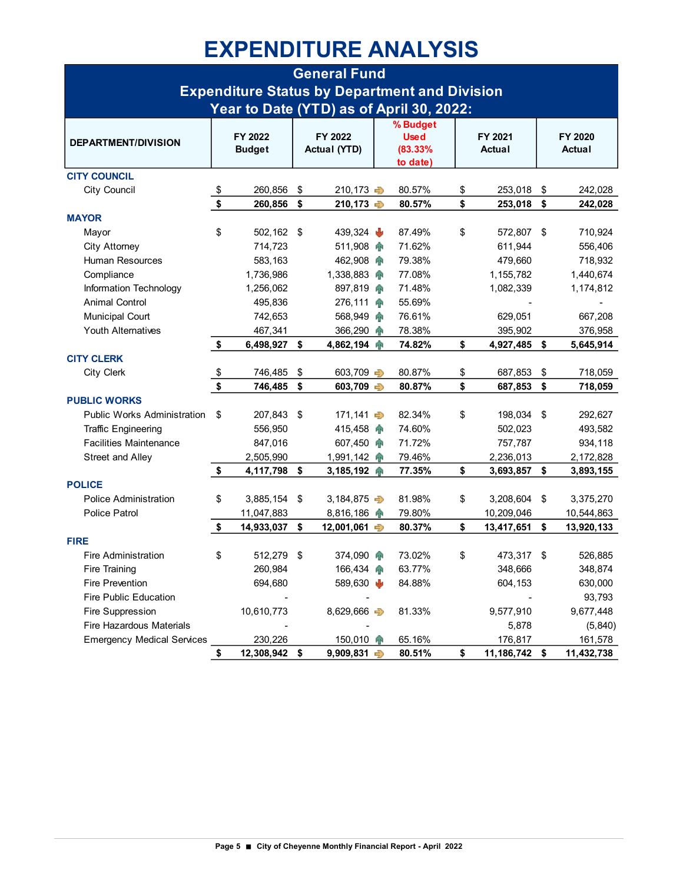## **EXPENDITURE ANALYSIS**

|                                    |               |                |         | <b>General Fund</b>     |  |                                                      |                     |                  |
|------------------------------------|---------------|----------------|---------|-------------------------|--|------------------------------------------------------|---------------------|------------------|
|                                    |               |                |         |                         |  | <b>Expenditure Status by Department and Division</b> |                     |                  |
|                                    |               |                |         |                         |  | Year to Date (YTD) as of April 30, 2022:             |                     |                  |
|                                    |               |                |         |                         |  | % Budget                                             |                     |                  |
|                                    |               | FY 2022        | FY 2022 |                         |  | <b>Used</b>                                          | FY 2021             | FY 2020          |
| <b>DEPARTMENT/DIVISION</b>         |               | <b>Budget</b>  |         | <b>Actual (YTD)</b>     |  | (83.33%                                              | Actual              | Actual           |
|                                    |               |                |         |                         |  | to date)                                             |                     |                  |
| <b>CITY COUNCIL</b>                |               |                |         |                         |  |                                                      |                     |                  |
| City Council                       | \$            | 260,856        | \$      | 210,173 →               |  | 80.57%                                               | \$<br>253,018       | \$<br>242,028    |
|                                    | \$            | 260,856        | -\$     | 210,173 →               |  | 80.57%                                               | \$<br>253,018       | \$<br>242,028    |
| <b>MAYOR</b>                       |               |                |         |                         |  |                                                      |                     |                  |
| Mayor                              | \$            | 502,162        | - \$    | 439,324                 |  | 87.49%                                               | \$<br>572,807       | \$<br>710,924    |
| City Attorney                      |               | 714,723        |         | 511,908 个               |  | 71.62%                                               | 611,944             | 556,406          |
| Human Resources                    |               | 583,163        |         | 462,908                 |  | 79.38%                                               | 479,660             | 718,932          |
| Compliance                         |               | 1,736,986      |         | $1,338,883$ $\oplus$    |  | 77.08%                                               | 1,155,782           | 1,440,674        |
| Information Technology             |               | 1,256,062      |         | 897,819                 |  | 71.48%                                               | 1,082,339           | 1,174,812        |
| <b>Animal Control</b>              |               | 495,836        |         | 276,111 个               |  | 55.69%                                               |                     |                  |
| <b>Municipal Court</b>             |               | 742,653        |         | 568,949                 |  | 76.61%                                               | 629.051             | 667,208          |
| <b>Youth Alternatives</b>          |               | 467,341        |         | 366,290                 |  | 78.38%                                               | 395,902             | 376,958          |
|                                    | \$            | 6,498,927      | \$      | 4,862,194               |  | 74.82%                                               | \$<br>4,927,485     | \$<br>5,645,914  |
| <b>CITY CLERK</b>                  |               |                |         |                         |  |                                                      |                     |                  |
| <b>City Clerk</b>                  | $\frac{1}{2}$ | 746,485        | \$      | 603,709 →               |  | 80.87%                                               | \$<br>687,853       | \$<br>718,059    |
|                                    | $\sqrt{2}$    | 746,485        | \$      | 603,709 $\Rightarrow$   |  | 80.87%                                               | \$<br>687,853       | \$<br>718,059    |
| <b>PUBLIC WORKS</b>                |               |                |         |                         |  |                                                      |                     |                  |
| <b>Public Works Administration</b> | \$            | 207,843        | \$      | 171,141 →               |  | 82.34%                                               | \$<br>198,034       | \$<br>292,627    |
| <b>Traffic Engineering</b>         |               | 556,950        |         | 415,458                 |  | 74.60%                                               | 502,023             | 493,582          |
| <b>Facilities Maintenance</b>      |               | 847,016        |         | 607,450                 |  | 71.72%                                               | 757,787             | 934,118          |
| Street and Alley                   |               | 2,505,990      |         | 1,991,142               |  | 79.46%                                               | 2,236,013           | 2,172,828        |
|                                    | \$            | 4, 117, 798 \$ |         | 3,185,192 个             |  | 77.35%                                               | \$<br>3,693,857 \$  | 3,893,155        |
| <b>POLICE</b>                      |               |                |         |                         |  |                                                      |                     |                  |
| <b>Police Administration</b>       | \$            | 3,885,154      | \$      | 3,184,875 $\Rightarrow$ |  | 81.98%                                               | \$<br>3,208,604     | \$<br>3,375,270  |
| <b>Police Patrol</b>               |               | 11,047,883     |         | 8,816,186               |  | 79.80%                                               | 10,209,046          | 10,544,863       |
|                                    | \$            | 14,933,037     | \$      | 12,001,061              |  | 80.37%                                               | \$<br>13,417,651    | \$<br>13,920,133 |
| <b>FIRE</b>                        |               |                |         |                         |  |                                                      |                     |                  |
| <b>Fire Administration</b>         | \$            | 512,279        | \$      | 374,090 个               |  | 73.02%                                               | \$<br>473,317       | \$<br>526,885    |
| Fire Training                      |               | 260,984        |         | 166,434                 |  | 63.77%                                               | 348,666             | 348,874          |
| <b>Fire Prevention</b>             |               | 694,680        |         | 589,630 ₺               |  | 84.88%                                               | 604,153             | 630,000          |
| <b>Fire Public Education</b>       |               |                |         |                         |  |                                                      |                     | 93,793           |
| Fire Suppression                   |               | 10,610,773     |         | 8,629,666 $\Rightarrow$ |  | 81.33%                                               | 9,577,910           | 9,677,448        |
| Fire Hazardous Materials           |               |                |         |                         |  |                                                      | 5,878               | (5, 840)         |
| <b>Emergency Medical Services</b>  |               | 230,226        |         | 150,010                 |  | 65.16%                                               | 176,817             | 161,578          |
|                                    | \$            | 12,308,942 \$  |         | $9,909,831 \Rightarrow$ |  | 80.51%                                               | \$<br>11,186,742 \$ | 11,432,738       |
|                                    |               |                |         |                         |  |                                                      |                     |                  |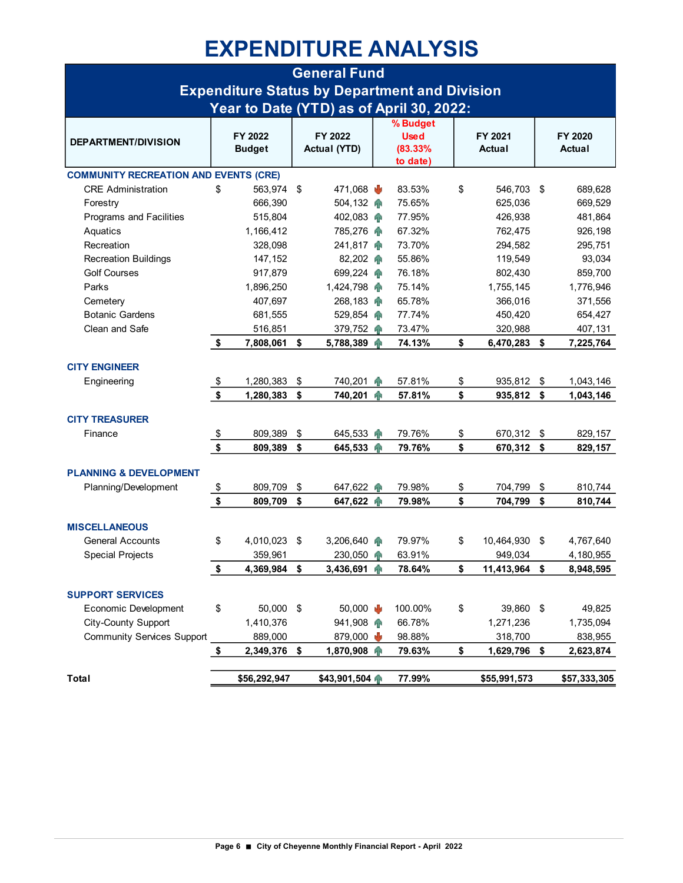### **EXPENDITURE ANALYSIS**

|                                              |               |                          |    | <b>General Fund</b>            |    |                                                      |                     |     |                          |
|----------------------------------------------|---------------|--------------------------|----|--------------------------------|----|------------------------------------------------------|---------------------|-----|--------------------------|
|                                              |               |                          |    |                                |    | <b>Expenditure Status by Department and Division</b> |                     |     |                          |
|                                              |               |                          |    |                                |    | Year to Date (YTD) as of April 30, 2022:             |                     |     |                          |
| <b>DEPARTMENT/DIVISION</b>                   |               | FY 2022<br><b>Budget</b> |    | FY 2022<br><b>Actual (YTD)</b> |    | % Budget<br><b>Used</b><br>(83.33%<br>to date)       | FY 2021<br>Actual   |     | FY 2020<br><b>Actual</b> |
| <b>COMMUNITY RECREATION AND EVENTS (CRE)</b> |               |                          |    |                                |    |                                                      |                     |     |                          |
| <b>CRE</b> Administration                    | \$            | 563,974 \$               |    | 471,068 $\frac{1}{2}$          |    | 83.53%                                               | \$<br>546,703 \$    |     | 689,628                  |
| Forestry                                     |               | 666,390                  |    | 504,132                        |    | 75.65%                                               | 625,036             |     | 669,529                  |
| <b>Programs and Facilities</b>               |               | 515,804                  |    | 402,083                        |    | 77.95%                                               | 426,938             |     | 481,864                  |
| Aquatics                                     |               | 1,166,412                |    | 785,276                        |    | 67.32%                                               | 762,475             |     | 926,198                  |
| Recreation                                   |               | 328,098                  |    | 241,817                        |    | 73.70%                                               | 294,582             |     | 295,751                  |
| <b>Recreation Buildings</b>                  |               | 147,152                  |    | 82,202 个                       |    | 55.86%                                               | 119,549             |     | 93,034                   |
| <b>Golf Courses</b>                          |               | 917,879                  |    | 699,224                        |    | 76.18%                                               | 802,430             |     | 859,700                  |
| Parks                                        |               | 1,896,250                |    | 1,424,798                      |    | 75.14%                                               | 1,755,145           |     | 1,776,946                |
| Cemetery                                     |               | 407,697                  |    | 268,183                        |    | 65.78%                                               | 366,016             |     | 371,556                  |
| <b>Botanic Gardens</b>                       |               | 681,555                  |    | 529,854                        |    | 77.74%                                               | 450,420             |     | 654,427                  |
| Clean and Safe                               |               | 516,851                  |    | 379,752                        |    | 73.47%                                               | 320,988             |     | 407,131                  |
|                                              | \$            | 7,808,061                | \$ | 5,788,389 个                    |    | 74.13%                                               | \$<br>6,470,283 \$  |     | 7,225,764                |
| <b>CITY ENGINEER</b>                         |               |                          |    |                                |    |                                                      |                     |     |                          |
| Engineering                                  | $\frac{1}{2}$ | 1,280,383                | \$ | 740,201                        | ЯŘ | 57.81%                                               | \$<br>935,812       | -\$ | 1,043,146                |
|                                              | $\sqrt{2}$    | 1,280,383                | \$ | 740,201                        | иÑ | 57.81%                                               | \$<br>935,812 \$    |     | 1,043,146                |
|                                              |               |                          |    |                                |    |                                                      |                     |     |                          |
| <b>CITY TREASURER</b>                        |               |                          |    |                                |    |                                                      |                     |     |                          |
| Finance                                      | $\frac{1}{2}$ | 809,389                  | \$ | 645,533                        | ЙR | 79.76%                                               | \$<br>670,312       | -\$ | 829,157                  |
|                                              | $\sqrt{2}$    | 809,389                  | \$ | 645,533                        | ЯR | 79.76%                                               | \$<br>670,312 \$    |     | 829,157                  |
| <b>PLANNING &amp; DEVELOPMENT</b>            |               |                          |    |                                |    |                                                      |                     |     |                          |
| Planning/Development                         | $\frac{1}{2}$ | 809,709                  | \$ | 647,622                        |    | 79.98%                                               | \$<br>704,799       | \$  | 810,744                  |
|                                              | \$            | 809,709                  | \$ | 647,622 个                      |    | 79.98%                                               | \$<br>704,799       | \$  | 810,744                  |
| <b>MISCELLANEOUS</b>                         |               |                          |    |                                |    |                                                      |                     |     |                          |
| <b>General Accounts</b>                      | \$            | 4,010,023                | \$ | 3,206,640                      |    | 79.97%                                               | \$<br>10,464,930    | -\$ | 4,767,640                |
| <b>Special Projects</b>                      |               | 359,961                  |    | 230,050                        | 平  | 63.91%                                               | 949,034             |     | 4,180,955                |
|                                              | \$            | 4,369,984 \$             |    | 3,436,691                      | ЯŘ | 78.64%                                               | \$<br>11,413,964 \$ |     | 8,948,595                |
| <b>SUPPORT SERVICES</b>                      |               |                          |    |                                |    |                                                      |                     |     |                          |
| <b>Economic Development</b>                  | \$            | 50,000                   | \$ | 50,000 $\frac{1}{2}$           |    | 100.00%                                              | \$<br>39,860 \$     |     | 49,825                   |
| City-County Support                          |               | 1,410,376                |    | 941,908                        |    | 66.78%                                               | 1,271,236           |     | 1,735,094                |
| <b>Community Services Support</b>            |               | 889,000                  |    | 879,000 $\frac{1}{2}$          |    | 98.88%                                               | 318,700             |     | 838,955                  |
|                                              | \$            | 2,349,376 \$             |    | 1,870,908 个                    |    | 79.63%                                               | \$<br>1,629,796 \$  |     | 2,623,874                |
|                                              |               |                          |    |                                |    |                                                      |                     |     |                          |
| Total                                        |               | \$56,292,947             |    | \$43,901,504                   |    | 77.99%                                               | \$55,991,573        |     | \$57,333,305             |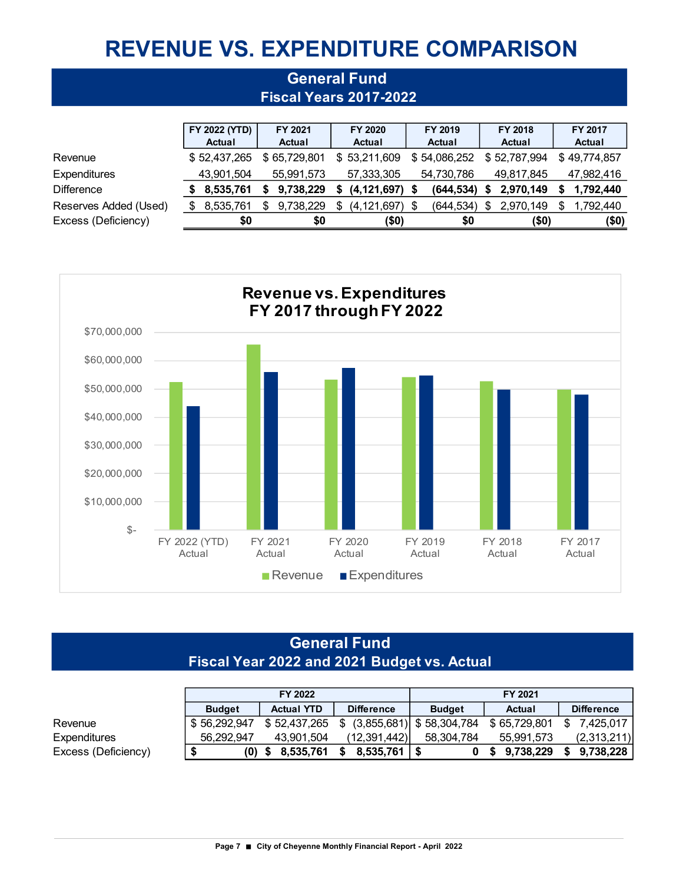# **REVENUE VS. EXPENDITURE COMPARISON**

**General Fund** 

|                       | <b>Fiscal Years 2017-2022</b> |               |    |               |    |                    |  |              |   |              |     |               |  |  |
|-----------------------|-------------------------------|---------------|----|---------------|----|--------------------|--|--------------|---|--------------|-----|---------------|--|--|
|                       |                               |               |    |               |    |                    |  |              |   |              |     |               |  |  |
|                       |                               | FY 2022 (YTD) |    | FY 2021       |    | FY 2020            |  | FY 2019      |   | FY 2018      |     | FY 2017       |  |  |
|                       |                               | Actual        |    | <b>Actual</b> |    | <b>Actual</b>      |  | Actual       |   | Actual       |     | <b>Actual</b> |  |  |
| Revenue               |                               | \$52,437,265  |    | \$65,729,801  |    | \$53,211,609       |  | \$54,086,252 |   | \$52,787,994 |     | \$49,774,857  |  |  |
| Expenditures          |                               | 43,901,504    |    | 55,991,573    |    | 57,333,305         |  | 54,730,786   |   | 49,817,845   |     | 47,982,416    |  |  |
| <b>Difference</b>     |                               | 8,535,761     |    | 9,738,229     | S  | $(4, 121, 697)$ \$ |  | (644, 534)   | S | 2,970,149    | S   | 1,792,440     |  |  |
| Reserves Added (Used) | S.                            | 8,535,761     | \$ | 9,738,229     | \$ | (4,121,697) \$     |  | (644, 534)   | S | 2,970,149    | \$. | 1,792,440     |  |  |
| Excess (Deficiency)   |                               | \$0           |    | \$0           |    | (50)               |  | \$0          |   | $($ \$0)     |     | $($ \$0)      |  |  |



### **General Fund Fiscal Year 2022 and 2021 Budget vs. Actual**

|                     |               | FY 2022           |                   | FY 2021                     |               |                   |  |  |  |
|---------------------|---------------|-------------------|-------------------|-----------------------------|---------------|-------------------|--|--|--|
|                     | <b>Budget</b> | <b>Actual YTD</b> | <b>Difference</b> | <b>Budget</b>               | <b>Actual</b> | <b>Difference</b> |  |  |  |
| Revenue             | \$56,292,947  | \$52,437,265      | - S               | $(3,855,681)$ \$ 58,304,784 | \$65,729,801  | \$<br>7.425.017   |  |  |  |
| Expenditures        | 56.292.947    | 43.901.504        | (12, 391, 442)    | 58.304.784                  | 55.991.573    | (2,313,211)       |  |  |  |
| Excess (Deficiency) | $(0)$ \$      | 8.535.761         | 8,535,761         |                             | \$9,738,229   | \$<br>9.738.228   |  |  |  |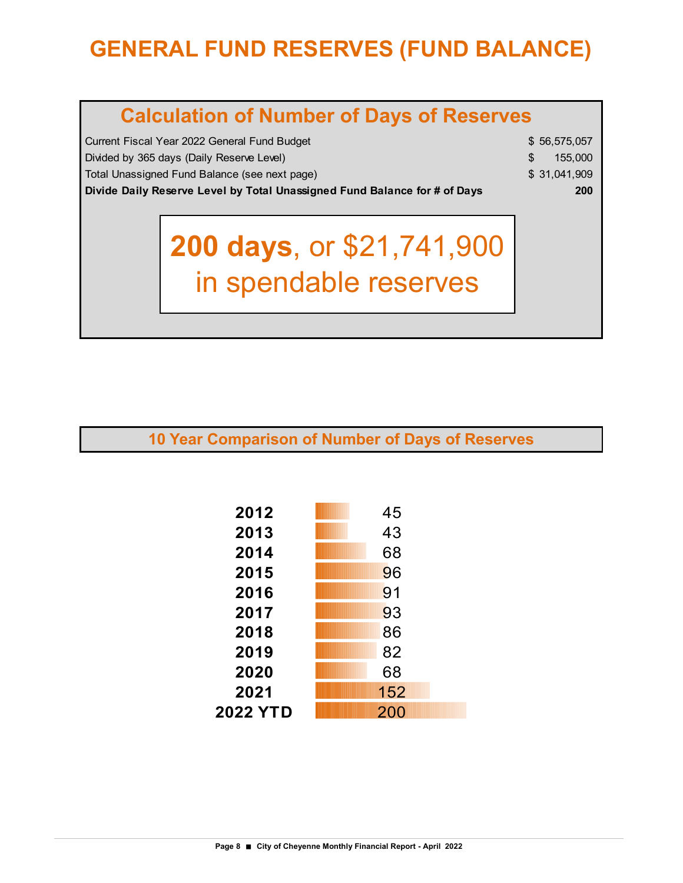# **GENERAL FUND RESERVES (FUND BALANCE)**

| <b>Calculation of Number of Days of Reserves</b>                                                           |                                                    |  |  |  |  |  |  |  |  |  |  |
|------------------------------------------------------------------------------------------------------------|----------------------------------------------------|--|--|--|--|--|--|--|--|--|--|
| Current Fiscal Year 2022 General Fund Budget<br>\$56,575,057<br>\$<br>155,000                              |                                                    |  |  |  |  |  |  |  |  |  |  |
| Divided by 365 days (Daily Reserve Level)<br>Total Unassigned Fund Balance (see next page)<br>\$31,041,909 |                                                    |  |  |  |  |  |  |  |  |  |  |
| Divide Daily Reserve Level by Total Unassigned Fund Balance for # of Days                                  | 200                                                |  |  |  |  |  |  |  |  |  |  |
|                                                                                                            | 200 days, or \$21,741,900<br>in spendable reserves |  |  |  |  |  |  |  |  |  |  |

**10 Year Comparison of Number of Days of Reserves**

| 2012     | 45  |
|----------|-----|
| 2013     | 43  |
| 2014     | 68  |
| 2015     | 96  |
| 2016     | 91  |
| 2017     | 93  |
| 2018     | 86  |
| 2019     | 82  |
| 2020     | 68  |
| 2021     | 152 |
| 2022 YTD | 200 |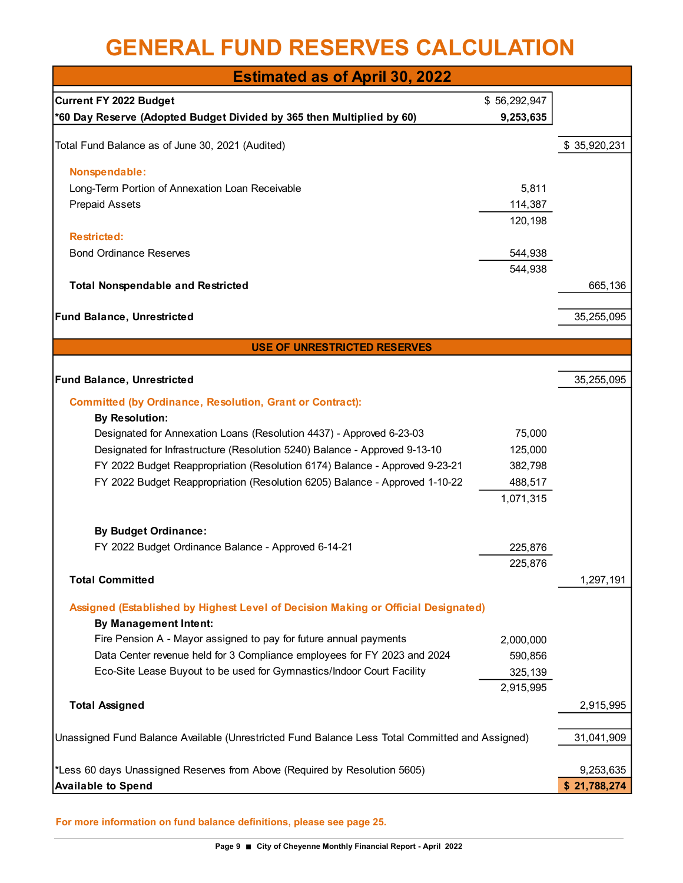### **GENERAL FUND RESERVES CALCULATION**

| <b>Estimated as of April 30, 2022</b>                                                           |                      |              |
|-------------------------------------------------------------------------------------------------|----------------------|--------------|
| <b>Current FY 2022 Budget</b>                                                                   | \$56,292,947         |              |
| *60 Day Reserve (Adopted Budget Divided by 365 then Multiplied by 60)                           | 9,253,635            |              |
|                                                                                                 |                      |              |
| Total Fund Balance as of June 30, 2021 (Audited)                                                |                      | \$35,920,231 |
| Nonspendable:                                                                                   |                      |              |
| Long-Term Portion of Annexation Loan Receivable                                                 | 5,811                |              |
| <b>Prepaid Assets</b>                                                                           | 114,387              |              |
|                                                                                                 | 120,198              |              |
| <b>Restricted:</b>                                                                              |                      |              |
| <b>Bond Ordinance Reserves</b>                                                                  | 544,938              |              |
|                                                                                                 | 544,938              |              |
| <b>Total Nonspendable and Restricted</b>                                                        |                      | 665,136      |
| Fund Balance, Unrestricted                                                                      |                      | 35,255,095   |
|                                                                                                 |                      |              |
| <b>USE OF UNRESTRICTED RESERVES</b>                                                             |                      |              |
|                                                                                                 |                      |              |
| Fund Balance, Unrestricted                                                                      |                      | 35,255,095   |
| <b>Committed (by Ordinance, Resolution, Grant or Contract):</b>                                 |                      |              |
| <b>By Resolution:</b>                                                                           |                      |              |
| Designated for Annexation Loans (Resolution 4437) - Approved 6-23-03                            | 75,000               |              |
| Designated for Infrastructure (Resolution 5240) Balance - Approved 9-13-10                      | 125,000              |              |
| FY 2022 Budget Reappropriation (Resolution 6174) Balance - Approved 9-23-21                     | 382,798              |              |
| FY 2022 Budget Reappropriation (Resolution 6205) Balance - Approved 1-10-22                     | 488,517              |              |
|                                                                                                 | 1,071,315            |              |
|                                                                                                 |                      |              |
| <b>By Budget Ordinance:</b><br>FY 2022 Budget Ordinance Balance - Approved 6-14-21              | 225,876              |              |
|                                                                                                 | 225,876              |              |
| <b>Total Committed</b>                                                                          |                      | 1,297,191    |
|                                                                                                 |                      |              |
| Assigned (Established by Highest Level of Decision Making or Official Designated)               |                      |              |
| <b>By Management Intent:</b>                                                                    |                      |              |
| Fire Pension A - Mayor assigned to pay for future annual payments                               | 2,000,000            |              |
| Data Center revenue held for 3 Compliance employees for FY 2023 and 2024                        | 590,856              |              |
| Eco-Site Lease Buyout to be used for Gymnastics/Indoor Court Facility                           | 325,139<br>2,915,995 |              |
| <b>Total Assigned</b>                                                                           |                      | 2,915,995    |
|                                                                                                 |                      |              |
| Unassigned Fund Balance Available (Unrestricted Fund Balance Less Total Committed and Assigned) |                      | 31,041,909   |
|                                                                                                 |                      |              |
| *Less 60 days Unassigned Reserves from Above (Required by Resolution 5605)                      |                      | 9,253,635    |
| <b>Available to Spend</b>                                                                       |                      | \$21,788,274 |

**For more information on fund balance definitions, please see page 25.**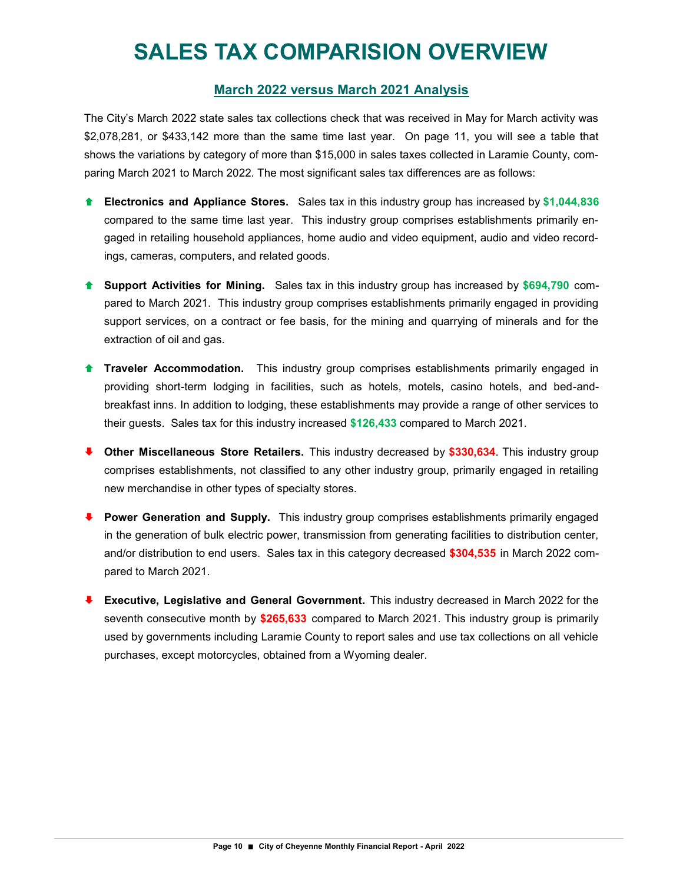## **SALES TAX COMPARISION OVERVIEW**

#### **March 2022 versus March 2021 Analysis**

The City's March 2022 state sales tax collections check that was received in May for March activity was \$2,078,281, or \$433,142 more than the same time last year. On page 11, you will see a table that shows the variations by category of more than \$15,000 in sales taxes collected in Laramie County, comparing March 2021 to March 2022. The most significant sales tax differences are as follows:

- **Electronics and Appliance Stores.** Sales tax in this industry group has increased by **\$1,044,836**  compared to the same time last year. This industry group comprises establishments primarily engaged in retailing household appliances, home audio and video equipment, audio and video recordings, cameras, computers, and related goods.
- **Support Activities for Mining.** Sales tax in this industry group has increased by **\$694,790** compared to March 2021. This industry group comprises establishments primarily engaged in providing support services, on a contract or fee basis, for the mining and quarrying of minerals and for the extraction of oil and gas.
- **Traveler Accommodation.** This industry group comprises establishments primarily engaged in providing short-term lodging in facilities, such as hotels, motels, casino hotels, and bed-andbreakfast inns. In addition to lodging, these establishments may provide a range of other services to their guests. Sales tax for this industry increased **\$126,433** compared to March 2021.
- **Other Miscellaneous Store Retailers.** This industry decreased by **\$330,634**. This industry group comprises establishments, not classified to any other industry group, primarily engaged in retailing new merchandise in other types of specialty stores.
- **Power Generation and Supply.** This industry group comprises establishments primarily engaged in the generation of bulk electric power, transmission from generating facilities to distribution center, and/or distribution to end users. Sales tax in this category decreased **\$304,535** in March 2022 compared to March 2021.
- **Executive, Legislative and General Government.** This industry decreased in March 2022 for the seventh consecutive month by **\$265,633** compared to March 2021. This industry group is primarily used by governments including Laramie County to report sales and use tax collections on all vehicle purchases, except motorcycles, obtained from a Wyoming dealer.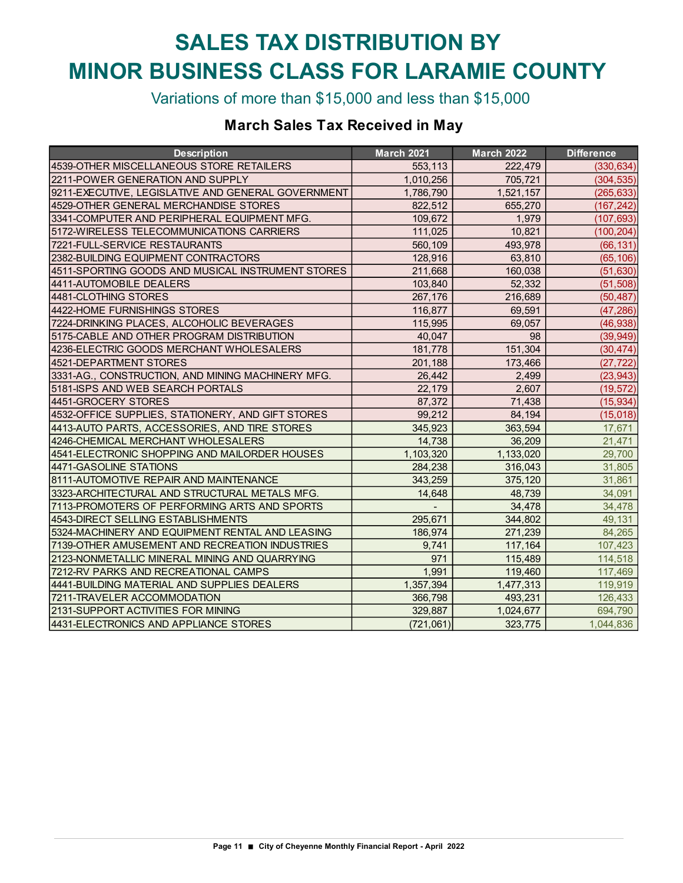# **SALES TAX DISTRIBUTION BY MINOR BUSINESS CLASS FOR LARAMIE COUNTY**

Variations of more than \$15,000 and less than \$15,000

### **March Sales Tax Received in May**

| <b>Description</b>                                 | <b>March 2021</b> | <b>March 2022</b> | <b>Difference</b> |
|----------------------------------------------------|-------------------|-------------------|-------------------|
| 4539-OTHER MISCELLANEOUS STORE RETAILERS           | 553,113           | 222,479           | (330, 634)        |
| 2211-POWER GENERATION AND SUPPLY                   | 1,010,256         | 705,721           | (304, 535)        |
| 9211-EXECUTIVE, LEGISLATIVE AND GENERAL GOVERNMENT | 1,786,790         | 1,521,157         | (265, 633)        |
| 4529-OTHER GENERAL MERCHANDISE STORES              | 822,512           | 655,270           | (167, 242)        |
| 3341-COMPUTER AND PERIPHERAL EQUIPMENT MFG.        | 109,672           | 1.979             | (107, 693)        |
| 5172-WIRELESS TELECOMMUNICATIONS CARRIERS          | 111,025           | 10,821            | (100, 204)        |
| 7221-FULL-SERVICE RESTAURANTS                      | 560,109           | 493,978           | (66, 131)         |
| 2382-BUILDING EQUIPMENT CONTRACTORS                | 128,916           | 63,810            | (65, 106)         |
| 4511-SPORTING GOODS AND MUSICAL INSTRUMENT STORES  | 211,668           | 160,038           | (51, 630)         |
| 4411-AUTOMOBILE DEALERS                            | 103,840           | 52,332            | (51, 508)         |
| 4481-CLOTHING STORES                               | 267,176           | 216,689           | (50, 487)         |
| 4422-HOME FURNISHINGS STORES                       | 116,877           | 69,591            | (47, 286)         |
| 7224-DRINKING PLACES, ALCOHOLIC BEVERAGES          | 115,995           | 69,057            | (46, 938)         |
| 5175-CABLE AND OTHER PROGRAM DISTRIBUTION          | 40,047            | 98                | (39, 949)         |
| 4236-ELECTRIC GOODS MERCHANT WHOLESALERS           | 181,778           | 151,304           | (30, 474)         |
| 4521-DEPARTMENT STORES                             | 201,188           | 173,466           | (27, 722)         |
| 3331-AG., CONSTRUCTION, AND MINING MACHINERY MFG.  | 26,442            | 2,499             | (23, 943)         |
| 5181-ISPS AND WEB SEARCH PORTALS                   | 22,179            | 2,607             | (19, 572)         |
| 4451-GROCERY STORES                                | 87,372            | 71,438            | (15, 934)         |
| 4532-OFFICE SUPPLIES, STATIONERY, AND GIFT STORES  | 99,212            | 84,194            | (15,018)          |
| 4413-AUTO PARTS, ACCESSORIES, AND TIRE STORES      | 345,923           | 363,594           | 17,671            |
| 4246-CHEMICAL MERCHANT WHOLESALERS                 | 14,738            | 36,209            | 21,471            |
| 4541-ELECTRONIC SHOPPING AND MAILORDER HOUSES      | 1,103,320         | 1,133,020         | 29,700            |
| 4471-GASOLINE STATIONS                             | 284,238           | 316,043           | 31,805            |
| 8111-AUTOMOTIVE REPAIR AND MAINTENANCE             | 343,259           | 375,120           | 31,861            |
| 3323-ARCHITECTURAL AND STRUCTURAL METALS MFG.      | 14,648            | 48,739            | 34,091            |
| 7113-PROMOTERS OF PERFORMING ARTS AND SPORTS       |                   | 34,478            | 34,478            |
| 4543-DIRECT SELLING ESTABLISHMENTS                 | 295,671           | 344,802           | 49,131            |
| 5324-MACHINERY AND EQUIPMENT RENTAL AND LEASING    | 186,974           | 271,239           | 84,265            |
| 7139-OTHER AMUSEMENT AND RECREATION INDUSTRIES     | 9,741             | 117,164           | 107,423           |
| 2123-NONMETALLIC MINERAL MINING AND QUARRYING      | 971               | 115,489           | 114,518           |
| 7212-RV PARKS AND RECREATIONAL CAMPS               | 1,991             | 119,460           | 117,469           |
| 4441-BUILDING MATERIAL AND SUPPLIES DEALERS        | 1,357,394         | 1,477,313         | 119,919           |
| 7211-TRAVELER ACCOMMODATION                        | 366,798           | 493,231           | 126,433           |
| 2131-SUPPORT ACTIVITIES FOR MINING                 | 329,887           | 1,024,677         | 694,790           |
| 4431-ELECTRONICS AND APPLIANCE STORES              | (721,061)         | 323,775           | 1,044,836         |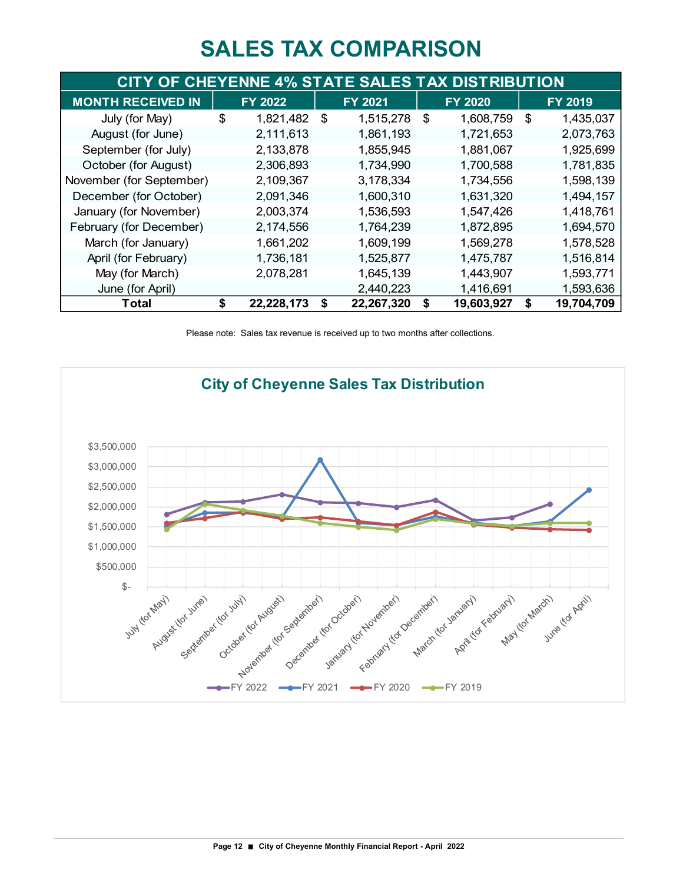### **SALES TAX COMPARISON**

| CITY OF CHEYENNE 4% STATE SALES TAX DISTRIBUTION |    |                |                |            |    |                |    |                |  |  |  |
|--------------------------------------------------|----|----------------|----------------|------------|----|----------------|----|----------------|--|--|--|
| <b>MONTH RECEIVED IN</b>                         |    | <b>FY 2022</b> | <b>FY 2021</b> |            |    | <b>FY 2020</b> |    | <b>FY 2019</b> |  |  |  |
| July (for May)                                   | \$ | 1,821,482      | \$             | 1,515,278  | \$ | 1,608,759      | \$ | 1,435,037      |  |  |  |
| August (for June)                                |    | 2,111,613      |                | 1,861,193  |    | 1,721,653      |    | 2,073,763      |  |  |  |
| September (for July)                             |    | 2,133,878      |                | 1,855,945  |    | 1,881,067      |    | 1,925,699      |  |  |  |
| October (for August)                             |    | 2,306,893      |                | 1,734,990  |    | 1,700,588      |    | 1,781,835      |  |  |  |
| November (for September)                         |    | 2,109,367      |                | 3,178,334  |    | 1,734,556      |    | 1,598,139      |  |  |  |
| December (for October)                           |    | 2,091,346      |                | 1,600,310  |    | 1,631,320      |    | 1,494,157      |  |  |  |
| January (for November)                           |    | 2,003,374      |                | 1,536,593  |    | 1,547,426      |    | 1,418,761      |  |  |  |
| February (for December)                          |    | 2,174,556      |                | 1,764,239  |    | 1,872,895      |    | 1,694,570      |  |  |  |
| March (for January)                              |    | 1,661,202      |                | 1,609,199  |    | 1,569,278      |    | 1,578,528      |  |  |  |
| April (for February)                             |    | 1,736,181      |                | 1,525,877  |    | 1,475,787      |    | 1,516,814      |  |  |  |
| May (for March)                                  |    | 2,078,281      |                | 1,645,139  |    | 1,443,907      |    | 1,593,771      |  |  |  |
| June (for April)                                 |    |                |                | 2,440,223  |    | 1,416,691      |    | 1,593,636      |  |  |  |
| Total                                            | \$ | 22,228,173     | S              | 22,267,320 | S  | 19,603,927     | \$ | 19,704,709     |  |  |  |

Please note: Sales tax revenue is received up to two months after collections.

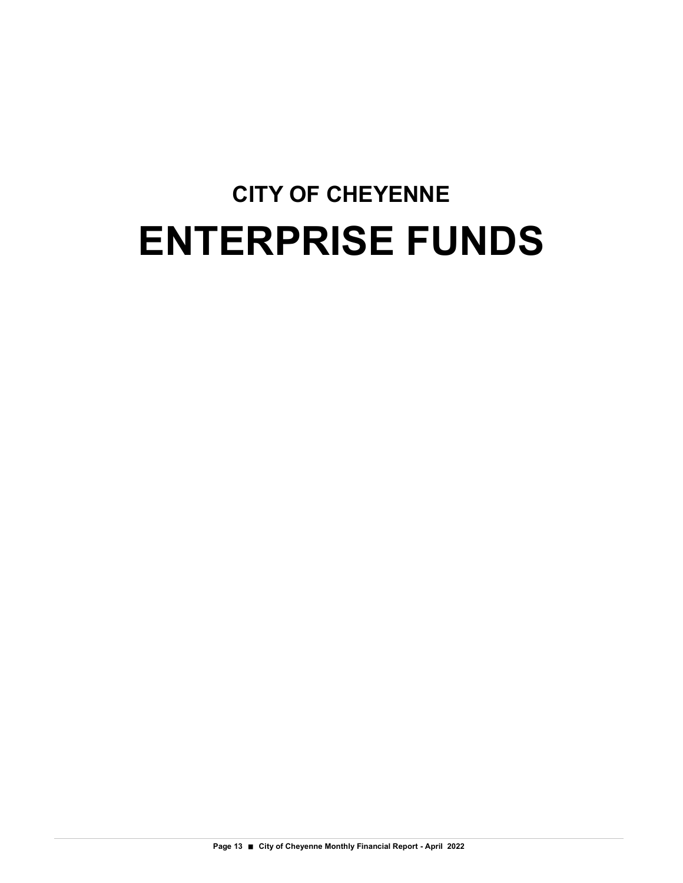# **CITY OF CHEYENNE ENTERPRISE FUNDS**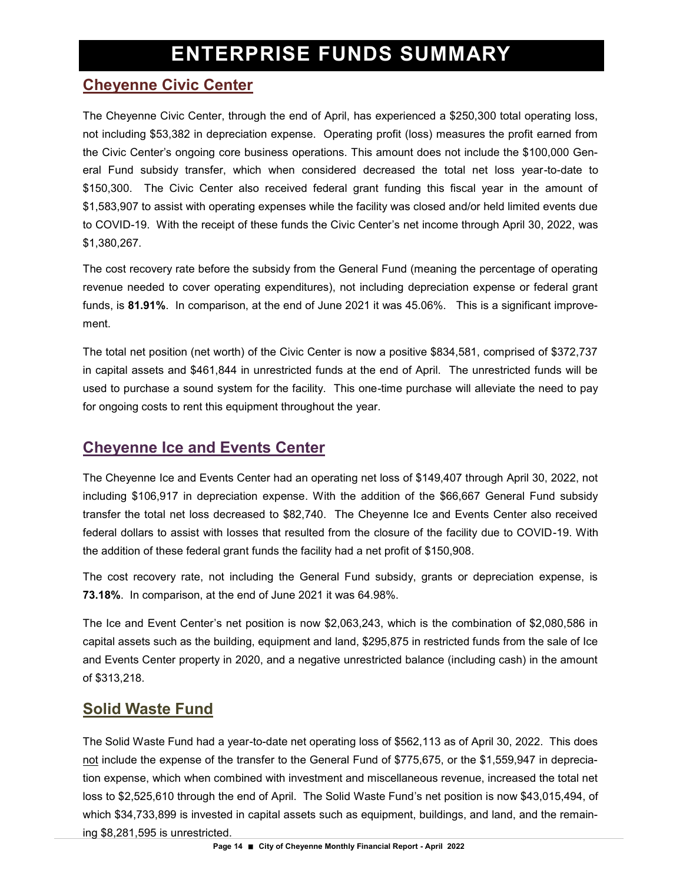### **Cheyenne Civic Center**

The Cheyenne Civic Center, through the end of April, has experienced a \$250,300 total operating loss, not including \$53,382 in depreciation expense. Operating profit (loss) measures the profit earned from the Civic Center's ongoing core business operations. This amount does not include the \$100,000 General Fund subsidy transfer, which when considered decreased the total net loss year-to-date to \$150,300. The Civic Center also received federal grant funding this fiscal year in the amount of \$1,583,907 to assist with operating expenses while the facility was closed and/or held limited events due to COVID-19. With the receipt of these funds the Civic Center's net income through April 30, 2022, was \$1,380,267.

The cost recovery rate before the subsidy from the General Fund (meaning the percentage of operating revenue needed to cover operating expenditures), not including depreciation expense or federal grant funds, is **81.91%**. In comparison, at the end of June 2021 it was 45.06%. This is a significant improvement.

The total net position (net worth) of the Civic Center is now a positive \$834,581, comprised of \$372,737 in capital assets and \$461,844 in unrestricted funds at the end of April. The unrestricted funds will be used to purchase a sound system for the facility. This one-time purchase will alleviate the need to pay for ongoing costs to rent this equipment throughout the year.

### **Cheyenne Ice and Events Center**

The Cheyenne Ice and Events Center had an operating net loss of \$149,407 through April 30, 2022, not including \$106,917 in depreciation expense. With the addition of the \$66,667 General Fund subsidy transfer the total net loss decreased to \$82,740. The Cheyenne Ice and Events Center also received federal dollars to assist with losses that resulted from the closure of the facility due to COVID-19. With the addition of these federal grant funds the facility had a net profit of \$150,908.

The cost recovery rate, not including the General Fund subsidy, grants or depreciation expense, is **73.18%**. In comparison, at the end of June 2021 it was 64.98%.

The Ice and Event Center's net position is now \$2,063,243, which is the combination of \$2,080,586 in capital assets such as the building, equipment and land, \$295,875 in restricted funds from the sale of Ice and Events Center property in 2020, and a negative unrestricted balance (including cash) in the amount of \$313,218.

### **Solid Waste Fund**

The Solid Waste Fund had a year-to-date net operating loss of \$562,113 as of April 30, 2022. This does not include the expense of the transfer to the General Fund of \$775,675, or the \$1,559,947 in depreciation expense, which when combined with investment and miscellaneous revenue, increased the total net loss to \$2,525,610 through the end of April. The Solid Waste Fund's net position is now \$43,015,494, of which \$34,733,899 is invested in capital assets such as equipment, buildings, and land, and the remaining \$8,281,595 is unrestricted.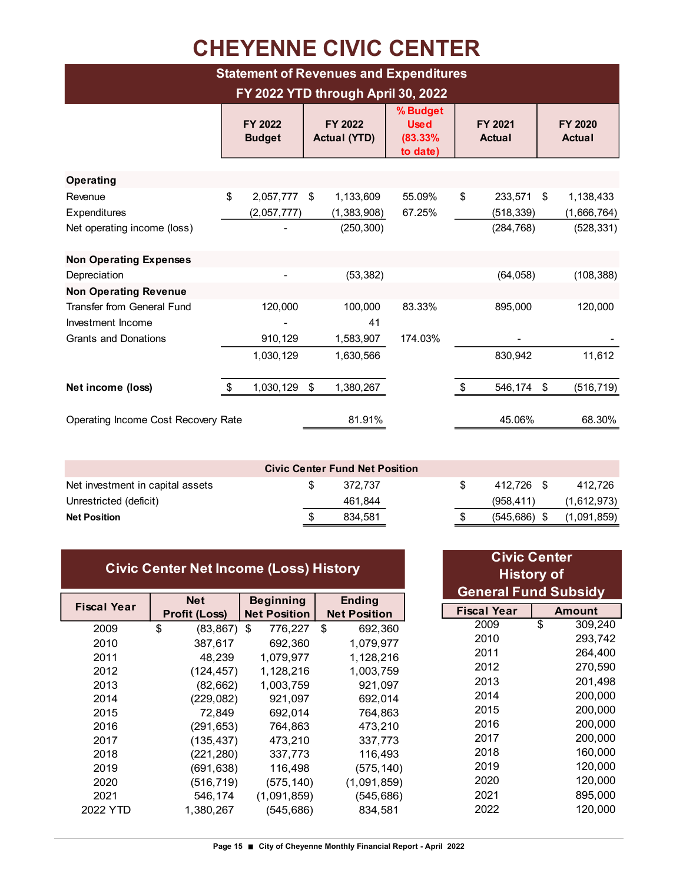# **CHEYENNE CIVIC CENTER**

| <b>Statement of Revenues and Expenditures</b>                                         |    |                                    |    |                                        |                                                |                          |                                     |    |                                        |  |  |  |
|---------------------------------------------------------------------------------------|----|------------------------------------|----|----------------------------------------|------------------------------------------------|--------------------------|-------------------------------------|----|----------------------------------------|--|--|--|
|                                                                                       |    | FY 2022 YTD through April 30, 2022 |    |                                        |                                                |                          |                                     |    |                                        |  |  |  |
|                                                                                       |    | FY 2022<br><b>Budget</b>           |    | FY 2022<br><b>Actual (YTD)</b>         | % Budget<br><b>Used</b><br>(83.33%<br>to date) | FY 2021<br><b>Actual</b> |                                     |    | <b>FY 2020</b><br><b>Actual</b>        |  |  |  |
| Operating                                                                             |    |                                    |    |                                        |                                                |                          |                                     |    |                                        |  |  |  |
| Revenue<br>Expenditures<br>Net operating income (loss)                                | \$ | 2,057,777<br>(2,057,777)           | \$ | 1,133,609<br>(1,383,908)<br>(250, 300) | 55.09%<br>67.25%                               | \$                       | 233,571<br>(518, 339)<br>(284, 768) | \$ | 1,138,433<br>(1,666,764)<br>(528, 331) |  |  |  |
| <b>Non Operating Expenses</b>                                                         |    |                                    |    |                                        |                                                |                          |                                     |    |                                        |  |  |  |
| Depreciation                                                                          |    |                                    |    | (53, 382)                              |                                                |                          | (64, 058)                           |    | (108, 388)                             |  |  |  |
| <b>Non Operating Revenue</b>                                                          |    |                                    |    |                                        |                                                |                          |                                     |    |                                        |  |  |  |
| <b>Transfer from General Fund</b><br>Investment Income<br><b>Grants and Donations</b> |    | 120,000<br>910,129                 |    | 100,000<br>41<br>1,583,907             | 83.33%<br>174.03%                              |                          | 895,000                             |    | 120,000                                |  |  |  |
|                                                                                       |    | 1,030,129                          |    | 1,630,566                              |                                                |                          | 830,942                             |    | 11,612                                 |  |  |  |
| Net income (loss)                                                                     | \$ | 1,030,129                          | \$ | 1,380,267                              |                                                | \$                       | 546,174                             | \$ | (516, 719)                             |  |  |  |
| Operating Income Cost Recovery Rate                                                   |    |                                    |    | 81.91%                                 |                                                |                          | 45.06%                              |    | 68.30%                                 |  |  |  |

| <b>Civic Center Fund Net Position</b> |  |         |  |                |  |             |  |  |
|---------------------------------------|--|---------|--|----------------|--|-------------|--|--|
| Net investment in capital assets      |  | 372.737 |  | 412.726 \$     |  | 412.726     |  |  |
| Unrestricted (deficit)                |  | 461.844 |  | (958.411)      |  | (1,612,973) |  |  |
| <b>Net Position</b>                   |  | 834.581 |  | $(545.686)$ \$ |  | (1,091,859) |  |  |

| <b>Civic Center Net Income (Loss) History</b> |
|-----------------------------------------------|
|-----------------------------------------------|

| Fiscal Year | <b>Net</b>           |      | <b>Beginning</b>    |      | <b>Ending</b>       |
|-------------|----------------------|------|---------------------|------|---------------------|
|             | <b>Profit (Loss)</b> |      | <b>Net Position</b> |      | <b>Net Position</b> |
| 2009        | \$<br>(83, 867)      | - \$ | 776,227             | - \$ | 692,360             |
| 2010        | 387,617              |      | 692,360             |      | 1,079,977           |
| 2011        | 48,239               |      | 1,079,977           |      | 1,128,216           |
| 2012        | (124, 457)           |      | 1,128,216           |      | 1,003,759           |
| 2013        | (82, 662)            |      | 1,003,759           |      | 921,097             |
| 2014        | (229, 082)           |      | 921,097             |      | 692,014             |
| 2015        | 72,849               |      | 692,014             |      | 764,863             |
| 2016        | (291, 653)           |      | 764,863             |      | 473,210             |
| 2017        | (135, 437)           |      | 473,210             |      | 337,773             |
| 2018        | (221, 280)           |      | 337,773             |      | 116,493             |
| 2019        | (691,638)            |      | 116,498             |      | (575,140)           |
| 2020        | (516, 719)           |      | (575, 140)          |      | (1,091,859)         |
| 2021        | 546,174              |      | (1,091,859)         |      | (545, 686)          |
| 2022 YTD    | 1,380,267            |      | (545,686)           |      | 834,581             |
|             |                      |      |                     |      |                     |

| <b>Civic Center</b>         |    |         |  |  |  |  |  |
|-----------------------------|----|---------|--|--|--|--|--|
| <b>History of</b>           |    |         |  |  |  |  |  |
| <b>General Fund Subsidy</b> |    |         |  |  |  |  |  |
| Fiscal Year                 |    | Amount  |  |  |  |  |  |
| 2009                        | \$ | 309,240 |  |  |  |  |  |
| 2010                        |    | 293,742 |  |  |  |  |  |
| 2011                        |    | 264,400 |  |  |  |  |  |
| 2012                        |    | 270,590 |  |  |  |  |  |
| 2013                        |    | 201,498 |  |  |  |  |  |
| 2014                        |    | 200,000 |  |  |  |  |  |
| 2015                        |    | 200,000 |  |  |  |  |  |
| 2016                        |    | 200,000 |  |  |  |  |  |
| 2017                        |    | 200,000 |  |  |  |  |  |
| 2018                        |    | 160,000 |  |  |  |  |  |
| 2019                        |    | 120,000 |  |  |  |  |  |
| 2020                        |    | 120,000 |  |  |  |  |  |
| 2021                        |    | 895,000 |  |  |  |  |  |
| 2022                        |    | 120,000 |  |  |  |  |  |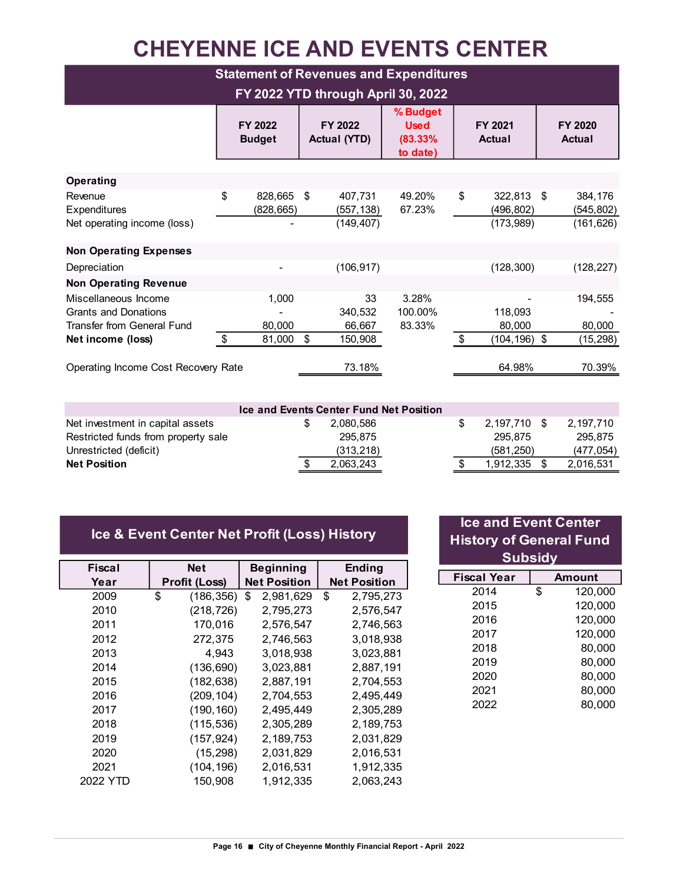# **CHEYENNE ICE AND EVENTS CENTER**

| <b>Statement of Revenues and Expenditures</b>                                     |    |                          |                           |                                     |                                                |                           |                                       |  |                                     |
|-----------------------------------------------------------------------------------|----|--------------------------|---------------------------|-------------------------------------|------------------------------------------------|---------------------------|---------------------------------------|--|-------------------------------------|
| FY 2022 YTD through April 30, 2022                                                |    |                          |                           |                                     |                                                |                           |                                       |  |                                     |
|                                                                                   |    | FY 2022<br><b>Budget</b> |                           | FY 2022<br><b>Actual (YTD)</b>      | % Budget<br><b>Used</b><br>(83.33%<br>to date) |                           | FY 2021<br>Actual                     |  | FY 2020<br>Actual                   |
| Operating                                                                         |    |                          |                           |                                     |                                                |                           |                                       |  |                                     |
| Revenue<br>Expenditures<br>Net operating income (loss)                            | \$ | 828,665<br>(828, 665)    | \$                        | 407,731<br>(557, 138)<br>(149, 407) | 49.20%<br>67.23%                               | \$                        | 322,813 \$<br>(496, 802)<br>(173,989) |  | 384,176<br>(545, 802)<br>(161, 626) |
| <b>Non Operating Expenses</b>                                                     |    |                          |                           |                                     |                                                |                           |                                       |  |                                     |
| Depreciation                                                                      |    |                          |                           | (106, 917)                          |                                                |                           | (128, 300)                            |  | (128, 227)                          |
| <b>Non Operating Revenue</b>                                                      |    |                          |                           |                                     |                                                |                           |                                       |  |                                     |
| Miscellaneous Income<br><b>Grants and Donations</b><br>Transfer from General Fund |    | 1,000<br>80,000          |                           | 33<br>340,532<br>66,667             | 3.28%<br>100.00%<br>83.33%                     |                           | 118,093<br>80,000                     |  | 194,555<br>80,000                   |
| Net income (loss)                                                                 | \$ | 81,000                   | $\boldsymbol{\mathsf{S}}$ | 150,908                             |                                                | $\boldsymbol{\mathsf{S}}$ | $(104, 196)$ \$                       |  | (15, 298)                           |
| Operating Income Cost Recovery Rate                                               |    |                          |                           | 73.18%                              |                                                |                           | 64.98%                                |  | 70.39%                              |

| <b>Ice and Events Center Fund Net Position</b> |  |            |  |                |  |           |  |  |
|------------------------------------------------|--|------------|--|----------------|--|-----------|--|--|
| Net investment in capital assets               |  | 2.080.586  |  | 2.197.710 \$   |  | 2.197.710 |  |  |
| Restricted funds from property sale            |  | 295.875    |  | 295.875        |  | 295.875   |  |  |
| Unrestricted (deficit)                         |  | (313, 218) |  | (581.250)      |  | (477.054) |  |  |
| <b>Net Position</b>                            |  | 2.063.243  |  | $1.912.335$ \$ |  | 2.016.531 |  |  |

|  | Ice & Event Center Net Profit (Loss) History                                                                    |  |  |
|--|-----------------------------------------------------------------------------------------------------------------|--|--|
|  | the contract of the contract of the contract of the contract of the contract of the contract of the contract of |  |  |

| Fiscal   | <b>Net</b>           | <b>Beginning</b>    | <b>Ending</b>       |
|----------|----------------------|---------------------|---------------------|
| Year     | <b>Profit (Loss)</b> | <b>Net Position</b> | <b>Net Position</b> |
| 2009     | \$<br>(186, 356)     | 2,981,629<br>\$     | \$<br>2,795,273     |
| 2010     | (218, 726)           | 2,795,273           | 2,576,547           |
| 2011     | 170,016              | 2,576,547           | 2,746,563           |
| 2012     | 272,375              | 2,746,563           | 3,018,938           |
| 2013     | 4,943                | 3,018,938           | 3,023,881           |
| 2014     | (136, 690)           | 3,023,881           | 2,887,191           |
| 2015     | (182, 638)           | 2,887,191           | 2,704,553           |
| 2016     | (209, 104)           | 2,704,553           | 2,495,449           |
| 2017     | (190, 160)           | 2,495,449           | 2,305,289           |
| 2018     | (115, 536)           | 2,305,289           | 2,189,753           |
| 2019     | (157, 924)           | 2,189,753           | 2,031,829           |
| 2020     | (15, 298)            | 2,031,829           | 2,016,531           |
| 2021     | (104, 196)           | 2,016,531           | 1,912,335           |
| 2022 YTD | 150,908              | 1,912,335           | 2,063,243           |

| <b>Ice and Event Center</b><br><b>History of General Fund</b><br><b>Subsidy</b> |    |         |  |  |  |  |  |
|---------------------------------------------------------------------------------|----|---------|--|--|--|--|--|
| <b>Fiscal Year</b>                                                              |    | Amount  |  |  |  |  |  |
| 2014                                                                            | \$ | 120,000 |  |  |  |  |  |
| 2015                                                                            |    | 120,000 |  |  |  |  |  |
| 2016                                                                            |    | 120,000 |  |  |  |  |  |
| 2017                                                                            |    | 120,000 |  |  |  |  |  |
| 2018                                                                            |    | 80.000  |  |  |  |  |  |
| 2019                                                                            |    | 80.000  |  |  |  |  |  |
| 2020                                                                            |    | 80,000  |  |  |  |  |  |
| 2021                                                                            |    | 80,000  |  |  |  |  |  |
| 2022                                                                            |    | 80.000  |  |  |  |  |  |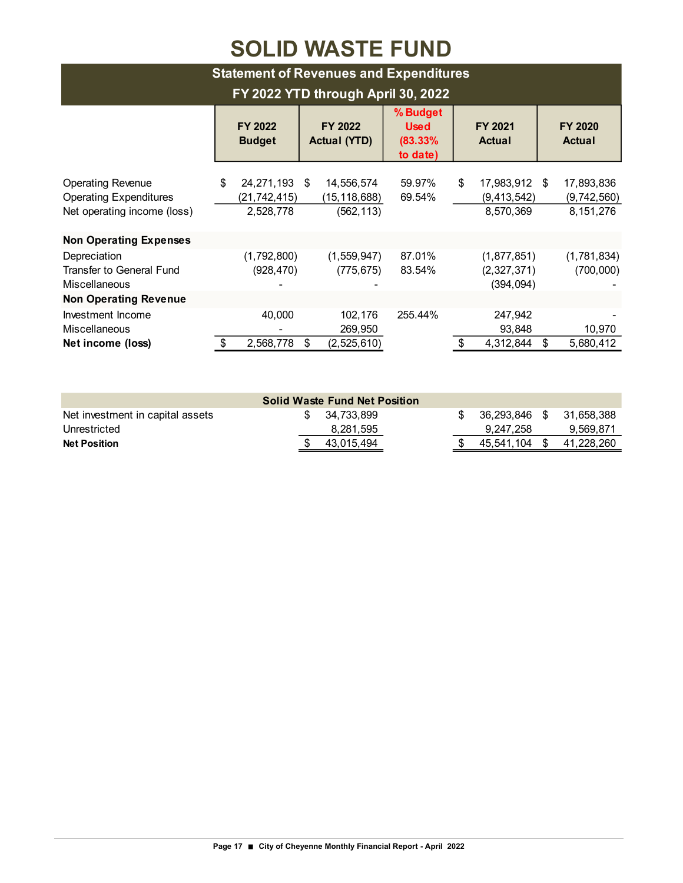## **SOLID WASTE FUND**

| <b>Statement of Revenues and Expenditures</b>                                            |                                                  |                                          |                                                |                                                   |                                        |  |  |  |  |
|------------------------------------------------------------------------------------------|--------------------------------------------------|------------------------------------------|------------------------------------------------|---------------------------------------------------|----------------------------------------|--|--|--|--|
| FY 2022 YTD through April 30, 2022                                                       |                                                  |                                          |                                                |                                                   |                                        |  |  |  |  |
|                                                                                          | FY 2022<br><b>Budget</b>                         | FY 2022<br><b>Actual (YTD)</b>           | % Budget<br><b>Used</b><br>(83.33%<br>to date) | FY 2021<br><b>Actual</b>                          | FY 2020<br><b>Actual</b>               |  |  |  |  |
| <b>Operating Revenue</b><br><b>Operating Expenditures</b><br>Net operating income (loss) | \$<br>24,271,193 \$<br>(21,742,415)<br>2,528,778 | 14,556,574<br>(15,118,688)<br>(562, 113) | 59.97%<br>69.54%                               | \$<br>17,983,912 \$<br>(9, 413, 542)<br>8,570,369 | 17,893,836<br>(9,742,560)<br>8,151,276 |  |  |  |  |
| <b>Non Operating Expenses</b>                                                            |                                                  |                                          |                                                |                                                   |                                        |  |  |  |  |
| Depreciation<br><b>Transfer to General Fund</b><br><b>Miscellaneous</b>                  | (1,792,800)<br>(928, 470)                        | (1,559,947)<br>(775, 675)                | 87.01%<br>83.54%                               | (1,877,851)<br>(2,327,371)<br>(394, 094)          | (1,781,834)<br>(700,000)               |  |  |  |  |
| <b>Non Operating Revenue</b>                                                             |                                                  |                                          |                                                |                                                   |                                        |  |  |  |  |
| Investment Income<br>Miscellaneous<br>Net income (loss)                                  | 40,000<br>2,568,778<br>\$                        | 102,176<br>269,950<br>(2,525,610)<br>\$  | 255.44%                                        | 247,942<br>93,848<br>4,312,844<br>\$              | 10,970<br>5,680,412<br>\$              |  |  |  |  |

| <b>Solid Waste Fund Net Position</b> |  |               |  |  |                  |      |            |  |
|--------------------------------------|--|---------------|--|--|------------------|------|------------|--|
| Net investment in capital assets     |  | \$ 34.733.899 |  |  | $$36.293.846$ \$ |      | 31.658.388 |  |
| Unrestricted                         |  | 8,281,595     |  |  | 9.247.258        |      | 9.569.871  |  |
| <b>Net Position</b>                  |  | 43.015.494    |  |  | 45.541.104       | - \$ | 41.228.260 |  |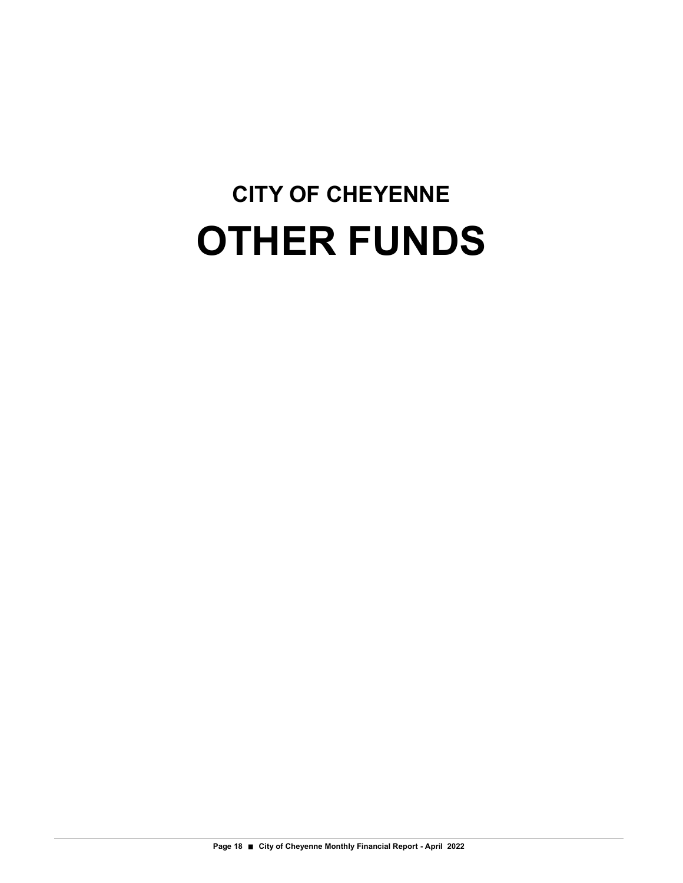# **CITY OF CHEYENNE OTHER FUNDS**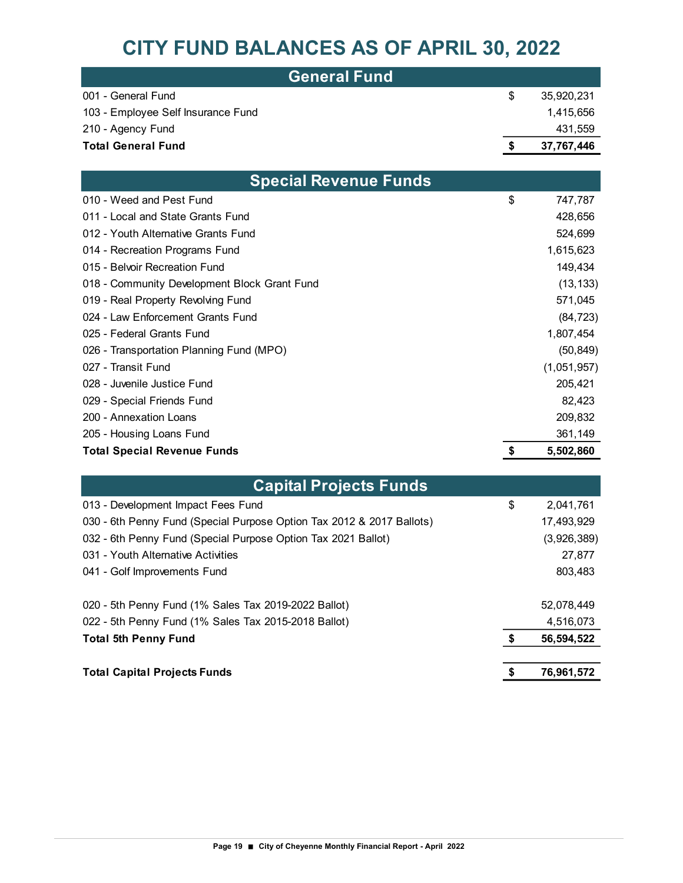### **CITY FUND BALANCES AS OF APRIL 30, 2022**

| <b>General Fund</b> '              |   |            |
|------------------------------------|---|------------|
| 001 - General Fund                 | S | 35.920.231 |
| 103 - Employee Self Insurance Fund |   | 1.415.656  |
| 210 - Agency Fund                  |   | 431,559    |
| <b>Total General Fund</b>          |   | 37,767,446 |

| <b>Special Revenue Funds</b>                 |                 |
|----------------------------------------------|-----------------|
| 010 - Weed and Pest Fund                     | \$<br>747,787   |
| 011 - Local and State Grants Fund            | 428,656         |
| 012 - Youth Alternative Grants Fund          | 524,699         |
| 014 - Recreation Programs Fund               | 1,615,623       |
| 015 - Belvoir Recreation Fund                | 149,434         |
| 018 - Community Development Block Grant Fund | (13, 133)       |
| 019 - Real Property Revolving Fund           | 571,045         |
| 024 - Law Enforcement Grants Fund            | (84, 723)       |
| 025 - Federal Grants Fund                    | 1,807,454       |
| 026 - Transportation Planning Fund (MPO)     | (50, 849)       |
| 027 - Transit Fund                           | (1,051,957)     |
| 028 - Juvenile Justice Fund                  | 205,421         |
| 029 - Special Friends Fund                   | 82,423          |
| 200 - Annexation Loans                       | 209,832         |
| 205 - Housing Loans Fund                     | 361,149         |
| <b>Total Special Revenue Funds</b>           | \$<br>5,502,860 |

| <b>Capital Projects Funds</b>                                         |                  |
|-----------------------------------------------------------------------|------------------|
| 013 - Development Impact Fees Fund                                    | \$<br>2,041,761  |
| 030 - 6th Penny Fund (Special Purpose Option Tax 2012 & 2017 Ballots) | 17,493,929       |
| 032 - 6th Penny Fund (Special Purpose Option Tax 2021 Ballot)         | (3,926,389)      |
| 031 - Youth Alternative Activities                                    | 27,877           |
| 041 - Golf Improvements Fund                                          | 803,483          |
| 020 - 5th Penny Fund (1% Sales Tax 2019-2022 Ballot)                  | 52,078,449       |
| 022 - 5th Penny Fund (1% Sales Tax 2015-2018 Ballot)                  | 4,516,073        |
| <b>Total 5th Penny Fund</b>                                           | \$<br>56,594,522 |
| <b>Total Capital Projects Funds</b>                                   | \$<br>76,961,572 |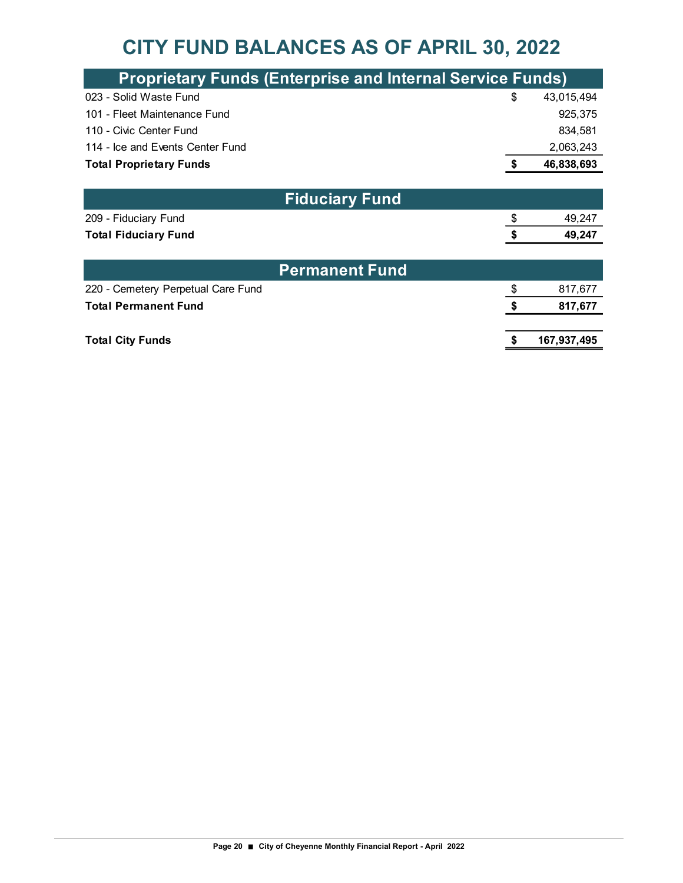### **CITY FUND BALANCES AS OF APRIL 30, 2022**

| <b>Proprietary Funds (Enterprise and Internal Service Funds)</b> |    |             |  |  |
|------------------------------------------------------------------|----|-------------|--|--|
| 023 - Solid Waste Fund                                           | \$ | 43,015,494  |  |  |
| 101 - Fleet Maintenance Fund                                     |    | 925,375     |  |  |
| 110 - Civic Center Fund                                          |    | 834,581     |  |  |
| 114 - Ice and Events Center Fund                                 |    | 2,063,243   |  |  |
| <b>Total Proprietary Funds</b>                                   |    | 46,838,693  |  |  |
|                                                                  |    |             |  |  |
| <b>Fiduciary Fund</b>                                            |    |             |  |  |
| 209 - Fiduciary Fund                                             | \$ | 49,247      |  |  |
| <b>Total Fiduciary Fund</b>                                      | S  | 49,247      |  |  |
|                                                                  |    |             |  |  |
| <b>Permanent Fund</b>                                            |    |             |  |  |
| 220 - Cemetery Perpetual Care Fund                               | \$ | 817,677     |  |  |
| <b>Total Permanent Fund</b>                                      | \$ | 817,677     |  |  |
|                                                                  |    |             |  |  |
| <b>Total City Funds</b>                                          |    | 167,937,495 |  |  |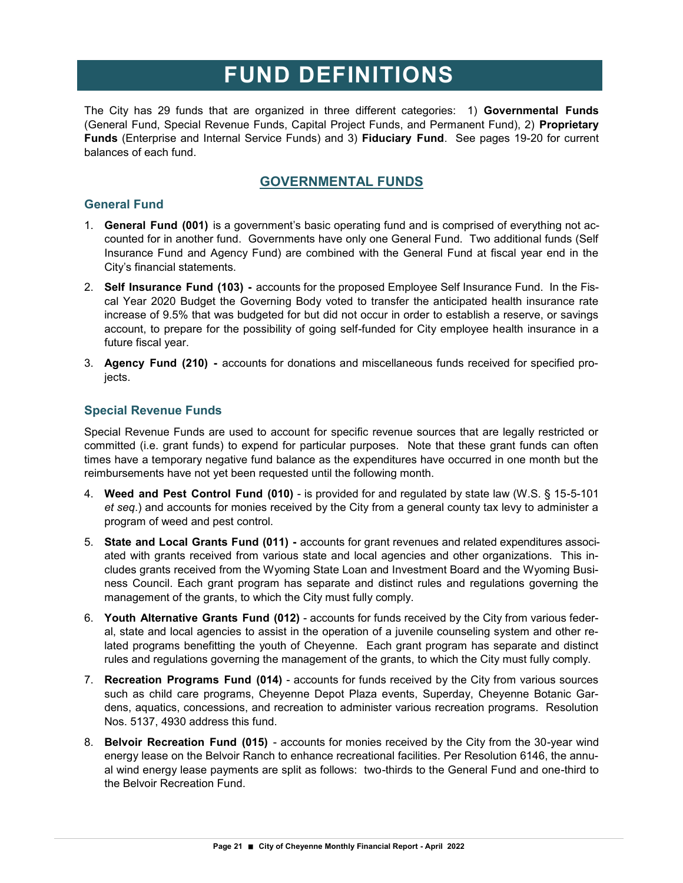The City has 29 funds that are organized in three different categories: 1) **Governmental Funds**  (General Fund, Special Revenue Funds, Capital Project Funds, and Permanent Fund), 2) **Proprietary Funds** (Enterprise and Internal Service Funds) and 3) **Fiduciary Fund**. See pages 19-20 for current balances of each fund.

#### **GOVERNMENTAL FUNDS**

#### **General Fund**

- 1. **General Fund (001)** is a government's basic operating fund and is comprised of everything not accounted for in another fund. Governments have only one General Fund. Two additional funds (Self Insurance Fund and Agency Fund) are combined with the General Fund at fiscal year end in the City's financial statements.
- 2. **Self Insurance Fund (103) -** accounts for the proposed Employee Self Insurance Fund. In the Fiscal Year 2020 Budget the Governing Body voted to transfer the anticipated health insurance rate increase of 9.5% that was budgeted for but did not occur in order to establish a reserve, or savings account, to prepare for the possibility of going self-funded for City employee health insurance in a future fiscal year.
- 3. **Agency Fund (210) -** accounts for donations and miscellaneous funds received for specified projects.

#### **Special Revenue Funds**

Special Revenue Funds are used to account for specific revenue sources that are legally restricted or committed (i.e. grant funds) to expend for particular purposes. Note that these grant funds can often times have a temporary negative fund balance as the expenditures have occurred in one month but the reimbursements have not yet been requested until the following month.

- 4. **Weed and Pest Control Fund (010)** is provided for and regulated by state law (W.S. § 15-5-101 *et seq*.) and accounts for monies received by the City from a general county tax levy to administer a program of weed and pest control.
- 5. **State and Local Grants Fund (011) -** accounts for grant revenues and related expenditures associated with grants received from various state and local agencies and other organizations. This includes grants received from the Wyoming State Loan and Investment Board and the Wyoming Business Council. Each grant program has separate and distinct rules and regulations governing the management of the grants, to which the City must fully comply.
- 6. **Youth Alternative Grants Fund (012)** accounts for funds received by the City from various federal, state and local agencies to assist in the operation of a juvenile counseling system and other related programs benefitting the youth of Cheyenne. Each grant program has separate and distinct rules and regulations governing the management of the grants, to which the City must fully comply.
- 7. **Recreation Programs Fund (014)** accounts for funds received by the City from various sources such as child care programs, Cheyenne Depot Plaza events, Superday, Cheyenne Botanic Gardens, aquatics, concessions, and recreation to administer various recreation programs. Resolution Nos. 5137, 4930 address this fund.
- 8. **Belvoir Recreation Fund (015)**  accounts for monies received by the City from the 30-year wind energy lease on the Belvoir Ranch to enhance recreational facilities. Per Resolution 6146, the annual wind energy lease payments are split as follows: two-thirds to the General Fund and one-third to the Belvoir Recreation Fund.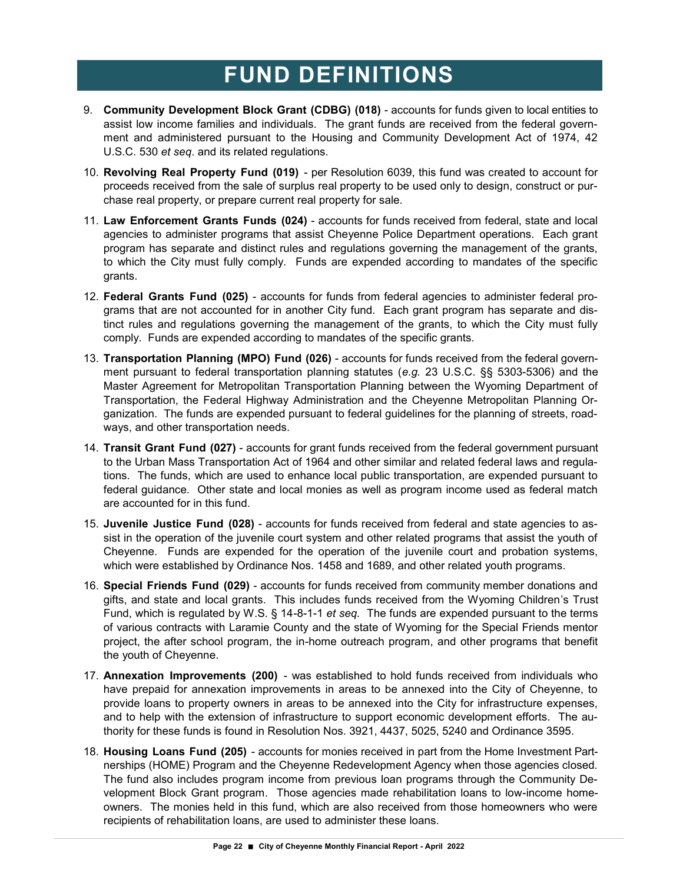- 9. **Community Development Block Grant (CDBG) (018)** accounts for funds given to local entities to assist low income families and individuals. The grant funds are received from the federal government and administered pursuant to the Housing and Community Development Act of 1974, 42 U.S.C. 530 *et seq*. and its related regulations.
- 10. **Revolving Real Property Fund (019)**  per Resolution 6039, this fund was created to account for proceeds received from the sale of surplus real property to be used only to design, construct or purchase real property, or prepare current real property for sale.
- 11. **Law Enforcement Grants Funds (024)** accounts for funds received from federal, state and local agencies to administer programs that assist Cheyenne Police Department operations. Each grant program has separate and distinct rules and regulations governing the management of the grants, to which the City must fully comply. Funds are expended according to mandates of the specific grants.
- 12. **Federal Grants Fund (025)** accounts for funds from federal agencies to administer federal programs that are not accounted for in another City fund. Each grant program has separate and distinct rules and regulations governing the management of the grants, to which the City must fully comply. Funds are expended according to mandates of the specific grants.
- 13. **Transportation Planning (MPO) Fund (026)** accounts for funds received from the federal government pursuant to federal transportation planning statutes (*e.g.* 23 U.S.C. §§ 5303-5306) and the Master Agreement for Metropolitan Transportation Planning between the Wyoming Department of Transportation, the Federal Highway Administration and the Cheyenne Metropolitan Planning Organization. The funds are expended pursuant to federal guidelines for the planning of streets, roadways, and other transportation needs.
- 14. **Transit Grant Fund (027)** accounts for grant funds received from the federal government pursuant to the Urban Mass Transportation Act of 1964 and other similar and related federal laws and regulations. The funds, which are used to enhance local public transportation, are expended pursuant to federal guidance. Other state and local monies as well as program income used as federal match are accounted for in this fund.
- 15. **Juvenile Justice Fund (028)** accounts for funds received from federal and state agencies to assist in the operation of the juvenile court system and other related programs that assist the youth of Cheyenne. Funds are expended for the operation of the juvenile court and probation systems, which were established by Ordinance Nos. 1458 and 1689, and other related youth programs.
- 16. **Special Friends Fund (029)** accounts for funds received from community member donations and gifts, and state and local grants. This includes funds received from the Wyoming Children's Trust Fund, which is regulated by W.S. § 14-8-1-1 *et seq.* The funds are expended pursuant to the terms of various contracts with Laramie County and the state of Wyoming for the Special Friends mentor project, the after school program, the in-home outreach program, and other programs that benefit the youth of Cheyenne.
- 17. **Annexation Improvements (200)**  was established to hold funds received from individuals who have prepaid for annexation improvements in areas to be annexed into the City of Cheyenne, to provide loans to property owners in areas to be annexed into the City for infrastructure expenses, and to help with the extension of infrastructure to support economic development efforts. The authority for these funds is found in Resolution Nos. 3921, 4437, 5025, 5240 and Ordinance 3595.
- 18. **Housing Loans Fund (205)**  accounts for monies received in part from the Home Investment Partnerships (HOME) Program and the Cheyenne Redevelopment Agency when those agencies closed. The fund also includes program income from previous loan programs through the Community Development Block Grant program. Those agencies made rehabilitation loans to low-income homeowners. The monies held in this fund, which are also received from those homeowners who were recipients of rehabilitation loans, are used to administer these loans.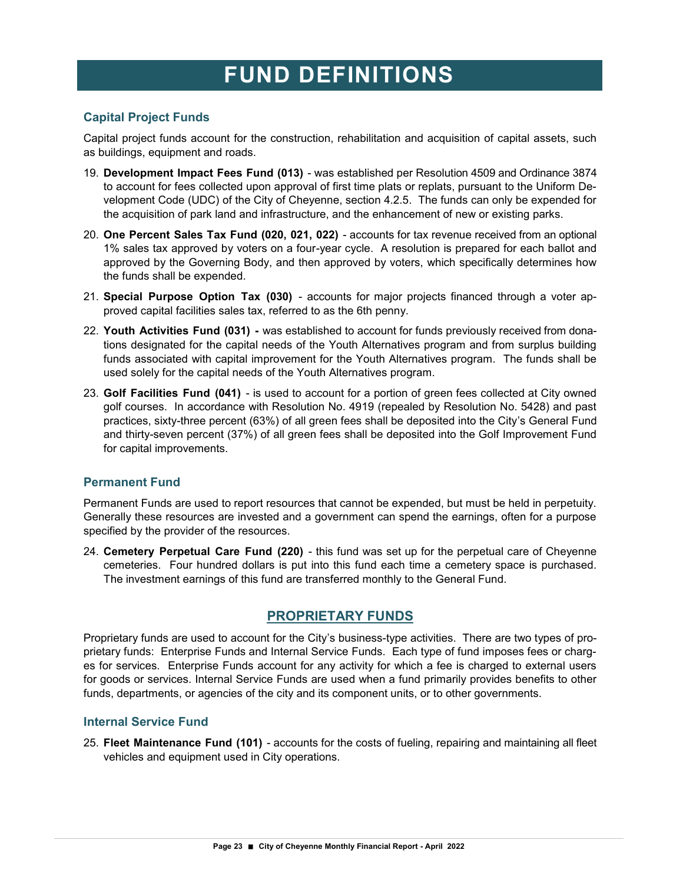#### **Capital Project Funds**

Capital project funds account for the construction, rehabilitation and acquisition of capital assets, such as buildings, equipment and roads.

- 19. **Development Impact Fees Fund (013)**  was established per Resolution 4509 and Ordinance 3874 to account for fees collected upon approval of first time plats or replats, pursuant to the Uniform Development Code (UDC) of the City of Cheyenne, section 4.2.5. The funds can only be expended for the acquisition of park land and infrastructure, and the enhancement of new or existing parks.
- 20. **One Percent Sales Tax Fund (020, 021, 022)**  accounts for tax revenue received from an optional 1% sales tax approved by voters on a four-year cycle. A resolution is prepared for each ballot and approved by the Governing Body, and then approved by voters, which specifically determines how the funds shall be expended.
- 21. **Special Purpose Option Tax (030)**  accounts for major projects financed through a voter approved capital facilities sales tax, referred to as the 6th penny.
- 22. **Youth Activities Fund (031) -** was established to account for funds previously received from donations designated for the capital needs of the Youth Alternatives program and from surplus building funds associated with capital improvement for the Youth Alternatives program. The funds shall be used solely for the capital needs of the Youth Alternatives program.
- 23. **Golf Facilities Fund (041)**  is used to account for a portion of green fees collected at City owned golf courses. In accordance with Resolution No. 4919 (repealed by Resolution No. 5428) and past practices, sixty-three percent (63%) of all green fees shall be deposited into the City's General Fund and thirty-seven percent (37%) of all green fees shall be deposited into the Golf Improvement Fund for capital improvements.

#### **Permanent Fund**

Permanent Funds are used to report resources that cannot be expended, but must be held in perpetuity. Generally these resources are invested and a government can spend the earnings, often for a purpose specified by the provider of the resources.

24. **Cemetery Perpetual Care Fund (220)** - this fund was set up for the perpetual care of Cheyenne cemeteries. Four hundred dollars is put into this fund each time a cemetery space is purchased. The investment earnings of this fund are transferred monthly to the General Fund.

### **PROPRIETARY FUNDS**

Proprietary funds are used to account for the City's business-type activities. There are two types of proprietary funds: Enterprise Funds and Internal Service Funds. Each type of fund imposes fees or charges for services. Enterprise Funds account for any activity for which a fee is charged to external users for goods or services. Internal Service Funds are used when a fund primarily provides benefits to other funds, departments, or agencies of the city and its component units, or to other governments.

#### **Internal Service Fund**

25. **Fleet Maintenance Fund (101)** - accounts for the costs of fueling, repairing and maintaining all fleet vehicles and equipment used in City operations.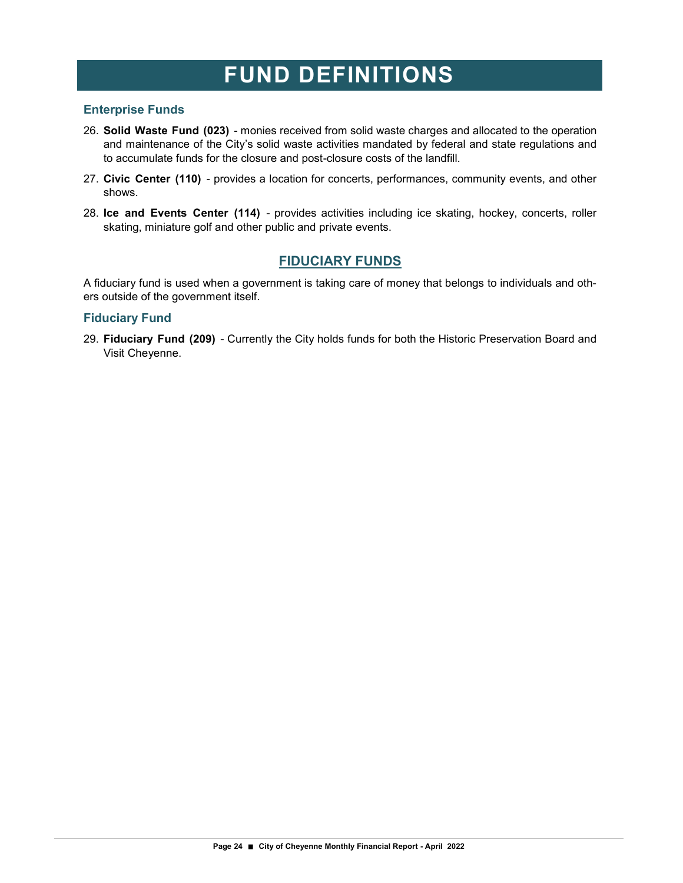#### **Enterprise Funds**

- 26. **Solid Waste Fund (023)**  monies received from solid waste charges and allocated to the operation and maintenance of the City's solid waste activities mandated by federal and state regulations and to accumulate funds for the closure and post-closure costs of the landfill.
- 27. **Civic Center (110)**  provides a location for concerts, performances, community events, and other shows.
- 28. **Ice and Events Center (114)**  provides activities including ice skating, hockey, concerts, roller skating, miniature golf and other public and private events.

#### **FIDUCIARY FUNDS**

A fiduciary fund is used when a government is taking care of money that belongs to individuals and others outside of the government itself.

#### **Fiduciary Fund**

29. **Fiduciary Fund (209)** - Currently the City holds funds for both the Historic Preservation Board and Visit Cheyenne.